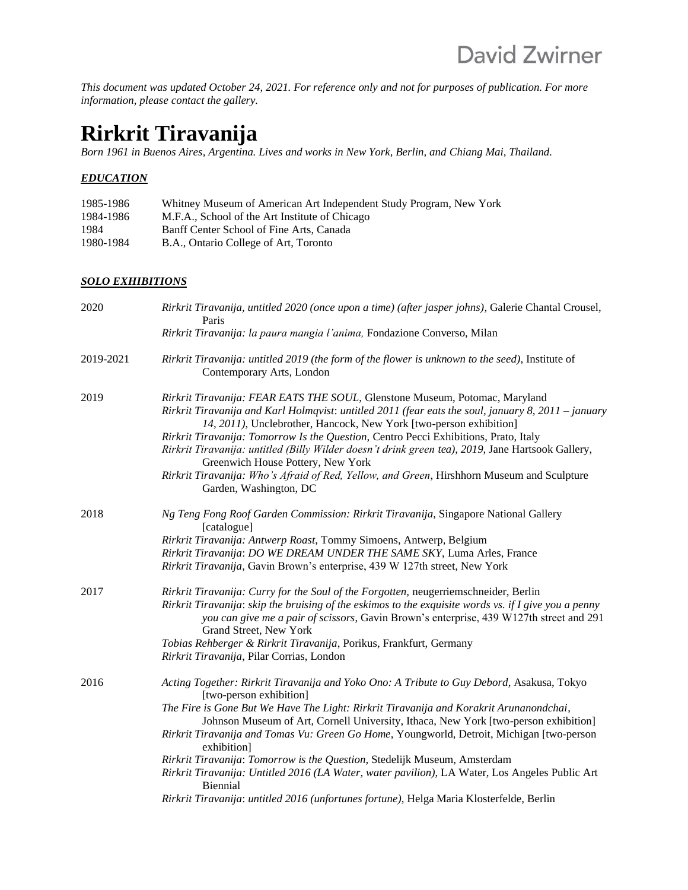*This document was updated October 24, 2021. For reference only and not for purposes of publication. For more information, please contact the gallery.*

# **Rirkrit Tiravanija**

*Born 1961 in Buenos Aires, Argentina. Lives and works in New York, Berlin, and Chiang Mai, Thailand.* 

#### *EDUCATION*

| 1985-1986 | Whitney Museum of American Art Independent Study Program, New York |
|-----------|--------------------------------------------------------------------|
| 1984-1986 | M.F.A., School of the Art Institute of Chicago                     |
| 1984      | Banff Center School of Fine Arts, Canada                           |
| 1980-1984 | B.A., Ontario College of Art, Toronto                              |

#### *SOLO EXHIBITIONS*

| 2020      | Rirkrit Tiravanija, untitled 2020 (once upon a time) (after jasper johns), Galerie Chantal Crousel,<br>Paris                                                                                                                                                                                                                                                                                                                                                                                                                                                                                                                                                                                             |
|-----------|----------------------------------------------------------------------------------------------------------------------------------------------------------------------------------------------------------------------------------------------------------------------------------------------------------------------------------------------------------------------------------------------------------------------------------------------------------------------------------------------------------------------------------------------------------------------------------------------------------------------------------------------------------------------------------------------------------|
|           | Rirkrit Tiravanija: la paura mangia l'anima, Fondazione Converso, Milan                                                                                                                                                                                                                                                                                                                                                                                                                                                                                                                                                                                                                                  |
| 2019-2021 | Rirkrit Tiravanija: untitled 2019 (the form of the flower is unknown to the seed), Institute of<br>Contemporary Arts, London                                                                                                                                                                                                                                                                                                                                                                                                                                                                                                                                                                             |
| 2019      | Rirkrit Tiravanija: FEAR EATS THE SOUL, Glenstone Museum, Potomac, Maryland<br>Rirkrit Tiravanija and Karl Holmqvist: untitled 2011 (fear eats the soul, january 8, 2011 – january<br>14, 2011), Unclebrother, Hancock, New York [two-person exhibition]<br>Rirkrit Tiravanija: Tomorrow Is the Question, Centro Pecci Exhibitions, Prato, Italy<br>Rirkrit Tiravanija: untitled (Billy Wilder doesn't drink green tea), 2019, Jane Hartsook Gallery,<br>Greenwich House Pottery, New York<br>Rirkrit Tiravanija: Who's Afraid of Red, Yellow, and Green, Hirshhorn Museum and Sculpture<br>Garden, Washington, DC                                                                                       |
| 2018      | Ng Teng Fong Roof Garden Commission: Rirkrit Tiravanija, Singapore National Gallery<br>[catalogue]<br>Rirkrit Tiravanija: Antwerp Roast, Tommy Simoens, Antwerp, Belgium<br>Rirkrit Tiravanija: DO WE DREAM UNDER THE SAME SKY, Luma Arles, France<br>Rirkrit Tiravanija, Gavin Brown's enterprise, 439 W 127th street, New York                                                                                                                                                                                                                                                                                                                                                                         |
| 2017      | Rirkrit Tiravanija: Curry for the Soul of the Forgotten, neugerriemschneider, Berlin<br>Rirkrit Tiravanija: skip the bruising of the eskimos to the exquisite words vs. if $I$ give you a penny<br>you can give me a pair of scissors, Gavin Brown's enterprise, 439 W127th street and 291<br>Grand Street, New York<br>Tobias Rehberger & Rirkrit Tiravanija, Porikus, Frankfurt, Germany<br>Rirkrit Tiravanija, Pilar Corrias, London                                                                                                                                                                                                                                                                  |
| 2016      | Acting Together: Rirkrit Tiravanija and Yoko Ono: A Tribute to Guy Debord, Asakusa, Tokyo<br>[two-person exhibition]<br>The Fire is Gone But We Have The Light: Rirkrit Tiravanija and Korakrit Arunanondchai,<br>Johnson Museum of Art, Cornell University, Ithaca, New York [two-person exhibition]<br>Rirkrit Tiravanija and Tomas Vu: Green Go Home, Youngworld, Detroit, Michigan [two-person<br>exhibition]<br>Rirkrit Tiravanija: Tomorrow is the Question, Stedelijk Museum, Amsterdam<br>Rirkrit Tiravanija: Untitled 2016 (LA Water, water pavilion), LA Water, Los Angeles Public Art<br>Biennial<br>Rirkrit Tiravanija: untitled 2016 (unfortunes fortune), Helga Maria Klosterfelde, Berlin |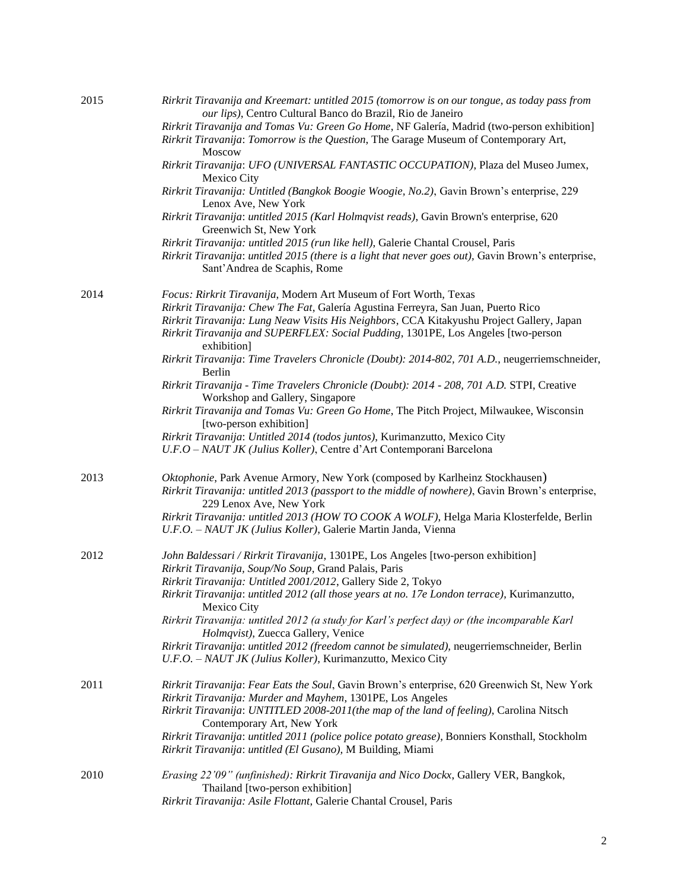| 2015 | Rirkrit Tiravanija and Kreemart: untitled 2015 (tomorrow is on our tongue, as today pass from<br>our lips), Centro Cultural Banco do Brazil, Rio de Janeiro<br>Rirkrit Tiravanija and Tomas Vu: Green Go Home, NF Galería, Madrid (two-person exhibition]<br>Rirkrit Tiravanija: Tomorrow is the Question, The Garage Museum of Contemporary Art,<br>Moscow |
|------|-------------------------------------------------------------------------------------------------------------------------------------------------------------------------------------------------------------------------------------------------------------------------------------------------------------------------------------------------------------|
|      | Rirkrit Tiravanija: UFO (UNIVERSAL FANTASTIC OCCUPATION), Plaza del Museo Jumex,<br>Mexico City                                                                                                                                                                                                                                                             |
|      | Rirkrit Tiravanija: Untitled (Bangkok Boogie Woogie, No.2), Gavin Brown's enterprise, 229<br>Lenox Ave, New York                                                                                                                                                                                                                                            |
|      | Rirkrit Tiravanija: untitled 2015 (Karl Holmqvist reads), Gavin Brown's enterprise, 620<br>Greenwich St, New York                                                                                                                                                                                                                                           |
|      | Rirkrit Tiravanija: untitled 2015 (run like hell), Galerie Chantal Crousel, Paris<br>Rirkrit Tiravanija: untitled 2015 (there is a light that never goes out), Gavin Brown's enterprise,<br>Sant'Andrea de Scaphis, Rome                                                                                                                                    |
| 2014 | Focus: Rirkrit Tiravanija, Modern Art Museum of Fort Worth, Texas                                                                                                                                                                                                                                                                                           |
|      | Rirkrit Tiravanija: Chew The Fat, Galería Agustina Ferreyra, San Juan, Puerto Rico<br>Rirkrit Tiravanija: Lung Neaw Visits His Neighbors, CCA Kitakyushu Project Gallery, Japan<br>Rirkrit Tiravanija and SUPERFLEX: Social Pudding, 1301PE, Los Angeles [two-person                                                                                        |
|      | exhibition]<br>Rirkrit Tiravanija: Time Travelers Chronicle (Doubt): 2014-802, 701 A.D., neugerriemschneider,<br><b>Berlin</b>                                                                                                                                                                                                                              |
|      | Rirkrit Tiravanija - Time Travelers Chronicle (Doubt): 2014 - 208, 701 A.D. STPI, Creative<br>Workshop and Gallery, Singapore                                                                                                                                                                                                                               |
|      | Rirkrit Tiravanija and Tomas Vu: Green Go Home, The Pitch Project, Milwaukee, Wisconsin<br>[two-person exhibition]                                                                                                                                                                                                                                          |
|      | Rirkrit Tiravanija: Untitled 2014 (todos juntos), Kurimanzutto, Mexico City<br>U.F.O - NAUT JK (Julius Koller), Centre d'Art Contemporani Barcelona                                                                                                                                                                                                         |
| 2013 | Oktophonie, Park Avenue Armory, New York (composed by Karlheinz Stockhausen)<br>Rirkrit Tiravanija: untitled 2013 (passport to the middle of nowhere), Gavin Brown's enterprise,<br>229 Lenox Ave, New York                                                                                                                                                 |
|      | Rirkrit Tiravanija: untitled 2013 (HOW TO COOK A WOLF), Helga Maria Klosterfelde, Berlin<br>U.F.O. - NAUT JK (Julius Koller), Galerie Martin Janda, Vienna                                                                                                                                                                                                  |
| 2012 | John Baldessari / Rirkrit Tiravanija, 1301PE, Los Angeles [two-person exhibition]<br>Rirkrit Tiravanija, Soup/No Soup, Grand Palais, Paris                                                                                                                                                                                                                  |
|      | Rirkrit Tiravanija: Untitled 2001/2012, Gallery Side 2, Tokyo<br>Rirkrit Tiravanija: untitled 2012 (all those years at no. 17e London terrace), Kurimanzutto,<br>Mexico City                                                                                                                                                                                |
|      | Rirkrit Tiravanija: untitled 2012 (a study for Karl's perfect day) or (the incomparable Karl<br>Holmqvist), Zuecca Gallery, Venice                                                                                                                                                                                                                          |
|      | Rirkrit Tiravanija: untitled 2012 (freedom cannot be simulated), neugerriemschneider, Berlin<br>U.F.O. - NAUT JK (Julius Koller), Kurimanzutto, Mexico City                                                                                                                                                                                                 |
| 2011 | Rirkrit Tiravanija: Fear Eats the Soul, Gavin Brown's enterprise, 620 Greenwich St, New York<br>Rirkrit Tiravanija: Murder and Mayhem, 1301PE, Los Angeles<br>Rirkrit Tiravanija: UNTITLED 2008-2011(the map of the land of feeling), Carolina Nitsch<br>Contemporary Art, New York                                                                         |
|      | Rirkrit Tiravanija: untitled 2011 (police police potato grease), Bonniers Konsthall, Stockholm<br>Rirkrit Tiravanija: untitled (El Gusano), M Building, Miami                                                                                                                                                                                               |
| 2010 | Erasing 22'09" (unfinished): Rirkrit Tiravanija and Nico Dockx, Gallery VER, Bangkok,<br>Thailand [two-person exhibition]<br>Rirkrit Tiravanija: Asile Flottant, Galerie Chantal Crousel, Paris                                                                                                                                                             |
|      |                                                                                                                                                                                                                                                                                                                                                             |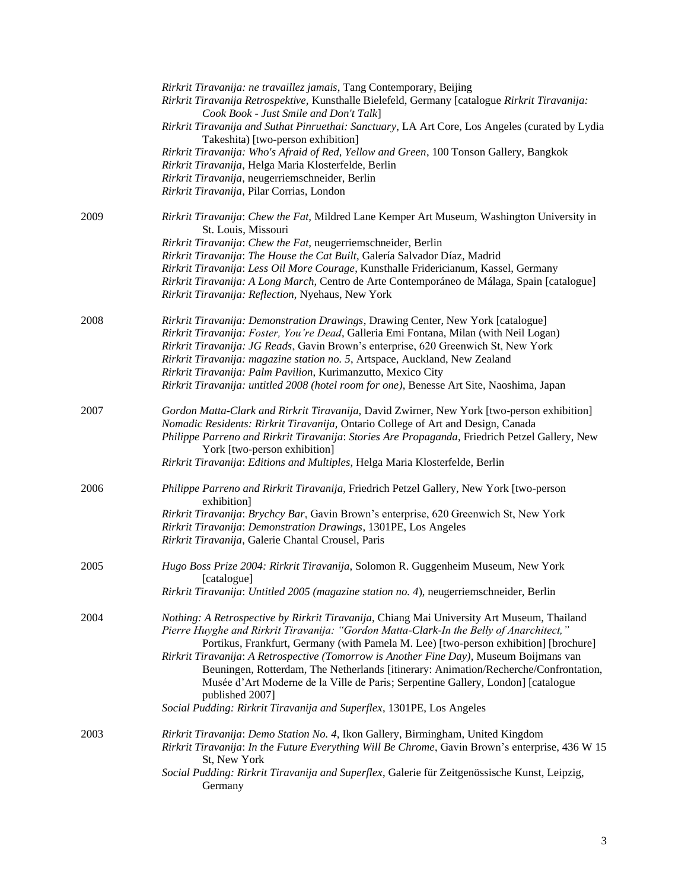|      | Rirkrit Tiravanija: ne travaillez jamais, Tang Contemporary, Beijing<br>Rirkrit Tiravanija Retrospektive, Kunsthalle Bielefeld, Germany [catalogue Rirkrit Tiravanija:<br>Cook Book - Just Smile and Don't Talk]<br>Rirkrit Tiravanija and Suthat Pinruethai: Sanctuary, LA Art Core, Los Angeles (curated by Lydia<br>Takeshita) [two-person exhibition]<br>Rirkrit Tiravanija: Who's Afraid of Red, Yellow and Green, 100 Tonson Gallery, Bangkok<br>Rirkrit Tiravanija, Helga Maria Klosterfelde, Berlin<br>Rirkrit Tiravanija, neugerriemschneider, Berlin<br>Rirkrit Tiravanija, Pilar Corrias, London                                      |
|------|--------------------------------------------------------------------------------------------------------------------------------------------------------------------------------------------------------------------------------------------------------------------------------------------------------------------------------------------------------------------------------------------------------------------------------------------------------------------------------------------------------------------------------------------------------------------------------------------------------------------------------------------------|
| 2009 | Rirkrit Tiravanija: Chew the Fat, Mildred Lane Kemper Art Museum, Washington University in<br>St. Louis, Missouri                                                                                                                                                                                                                                                                                                                                                                                                                                                                                                                                |
|      | Rirkrit Tiravanija: Chew the Fat, neugerriemschneider, Berlin<br>Rirkrit Tiravanija: The House the Cat Built, Galería Salvador Díaz, Madrid<br>Rirkrit Tiravanija: Less Oil More Courage, Kunsthalle Fridericianum, Kassel, Germany<br>Rirkrit Tiravanija: A Long March, Centro de Arte Contemporáneo de Málaga, Spain [catalogue]<br>Rirkrit Tiravanija: Reflection, Nyehaus, New York                                                                                                                                                                                                                                                          |
| 2008 | Rirkrit Tiravanija: Demonstration Drawings, Drawing Center, New York [catalogue]<br>Rirkrit Tiravanija: Foster, You're Dead, Galleria Emi Fontana, Milan (with Neil Logan)<br>Rirkrit Tiravanija: JG Reads, Gavin Brown's enterprise, 620 Greenwich St, New York<br>Rirkrit Tiravanija: magazine station no. 5, Artspace, Auckland, New Zealand<br>Rirkrit Tiravanija: Palm Pavilion, Kurimanzutto, Mexico City<br>Rirkrit Tiravanija: untitled 2008 (hotel room for one), Benesse Art Site, Naoshima, Japan                                                                                                                                     |
| 2007 | Gordon Matta-Clark and Rirkrit Tiravanija, David Zwirner, New York [two-person exhibition]<br>Nomadic Residents: Rirkrit Tiravanija, Ontario College of Art and Design, Canada<br>Philippe Parreno and Rirkrit Tiravanija: Stories Are Propaganda, Friedrich Petzel Gallery, New<br>York [two-person exhibition]<br>Rirkrit Tiravanija: Editions and Multiples, Helga Maria Klosterfelde, Berlin                                                                                                                                                                                                                                                 |
| 2006 | Philippe Parreno and Rirkrit Tiravanija, Friedrich Petzel Gallery, New York [two-person<br>exhibition]<br>Rirkrit Tiravanija: Brychcy Bar, Gavin Brown's enterprise, 620 Greenwich St, New York<br>Rirkrit Tiravanija: Demonstration Drawings, 1301PE, Los Angeles<br>Rirkrit Tiravanija, Galerie Chantal Crousel, Paris                                                                                                                                                                                                                                                                                                                         |
| 2005 | Hugo Boss Prize 2004: Rirkrit Tiravanija, Solomon R. Guggenheim Museum, New York<br>[catalogue]<br>Rirkrit Tiravanija: Untitled 2005 (magazine station no. 4), neugerriemschneider, Berlin                                                                                                                                                                                                                                                                                                                                                                                                                                                       |
| 2004 | Nothing: A Retrospective by Rirkrit Tiravanija, Chiang Mai University Art Museum, Thailand<br>Pierre Huyghe and Rirkrit Tiravanija: "Gordon Matta-Clark-In the Belly of Anarchitect,"<br>Portikus, Frankfurt, Germany (with Pamela M. Lee) [two-person exhibition] [brochure]<br>Rirkrit Tiravanija: A Retrospective (Tomorrow is Another Fine Day), Museum Boijmans van<br>Beuningen, Rotterdam, The Netherlands [itinerary: Animation/Recherche/Confrontation,<br>Musée d'Art Moderne de la Ville de Paris; Serpentine Gallery, London] [catalogue<br>published 2007]<br>Social Pudding: Rirkrit Tiravanija and Superflex, 1301PE, Los Angeles |
| 2003 | Rirkrit Tiravanija: Demo Station No. 4, Ikon Gallery, Birmingham, United Kingdom<br>Rirkrit Tiravanija: In the Future Everything Will Be Chrome, Gavin Brown's enterprise, 436 W 15<br>St, New York<br>Social Pudding: Rirkrit Tiravanija and Superflex, Galerie für Zeitgenössische Kunst, Leipzig,<br>Germany                                                                                                                                                                                                                                                                                                                                  |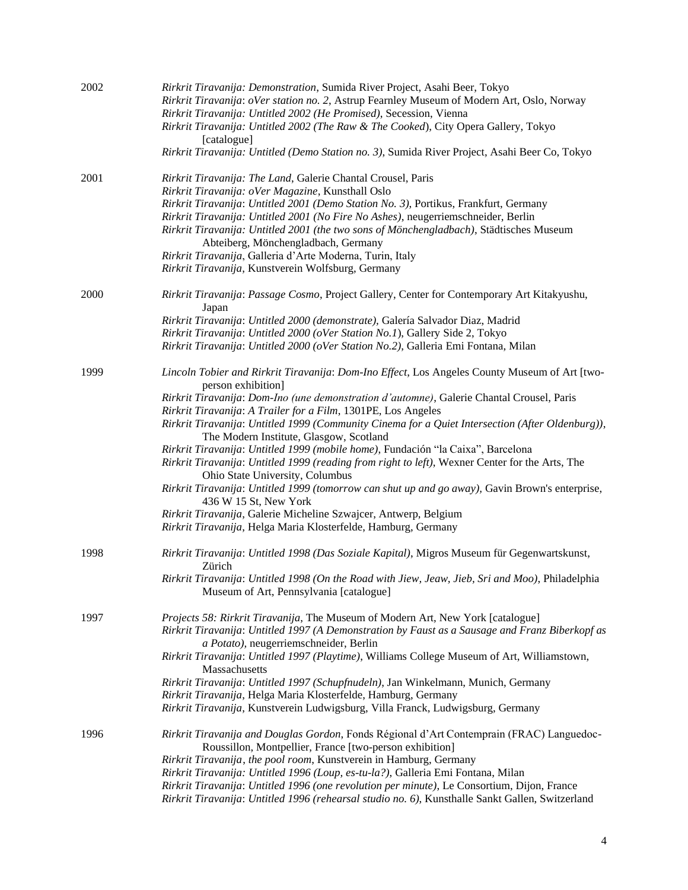| 2002 | Rirkrit Tiravanija: Demonstration, Sumida River Project, Asahi Beer, Tokyo                                                                                                                      |
|------|-------------------------------------------------------------------------------------------------------------------------------------------------------------------------------------------------|
|      | Rirkrit Tiravanija: oVer station no. 2, Astrup Fearnley Museum of Modern Art, Oslo, Norway                                                                                                      |
|      | Rirkrit Tiravanija: Untitled 2002 (He Promised), Secession, Vienna                                                                                                                              |
|      | Rirkrit Tiravanija: Untitled 2002 (The Raw & The Cooked), City Opera Gallery, Tokyo<br>[catalogue]                                                                                              |
|      | Rirkrit Tiravanija: Untitled (Demo Station no. 3), Sumida River Project, Asahi Beer Co, Tokyo                                                                                                   |
| 2001 | Rirkrit Tiravanija: The Land, Galerie Chantal Crousel, Paris                                                                                                                                    |
|      | Rirkrit Tiravanija: oVer Magazine, Kunsthall Oslo                                                                                                                                               |
|      | Rirkrit Tiravanija: Untitled 2001 (Demo Station No. 3), Portikus, Frankfurt, Germany                                                                                                            |
|      | Rirkrit Tiravanija: Untitled 2001 (No Fire No Ashes), neugerriemschneider, Berlin                                                                                                               |
|      | Rirkrit Tiravanija: Untitled 2001 (the two sons of Mönchengladbach), Städtisches Museum                                                                                                         |
|      | Abteiberg, Mönchengladbach, Germany                                                                                                                                                             |
|      | Rirkrit Tiravanija, Galleria d'Arte Moderna, Turin, Italy                                                                                                                                       |
|      | Rirkrit Tiravanija, Kunstverein Wolfsburg, Germany                                                                                                                                              |
| 2000 | Rirkrit Tiravanija: Passage Cosmo, Project Gallery, Center for Contemporary Art Kitakyushu,<br>Japan                                                                                            |
|      | Rirkrit Tiravanija: Untitled 2000 (demonstrate), Galería Salvador Diaz, Madrid                                                                                                                  |
|      | Rirkrit Tiravanija: Untitled 2000 (oVer Station No.1), Gallery Side 2, Tokyo                                                                                                                    |
|      | Rirkrit Tiravanija: Untitled 2000 (oVer Station No.2), Galleria Emi Fontana, Milan                                                                                                              |
| 1999 | Lincoln Tobier and Rirkrit Tiravanija: Dom-Ino Effect, Los Angeles County Museum of Art [two-<br>person exhibition]                                                                             |
|      | Rirkrit Tiravanija: Dom-Ino (une demonstration d'automne), Galerie Chantal Crousel, Paris                                                                                                       |
|      | Rirkrit Tiravanija: A Trailer for a Film, 1301PE, Los Angeles                                                                                                                                   |
|      | Rirkrit Tiravanija: Untitled 1999 (Community Cinema for a Quiet Intersection (After Oldenburg)),<br>The Modern Institute, Glasgow, Scotland                                                     |
|      | Rirkrit Tiravanija: Untitled 1999 (mobile home), Fundación "la Caixa", Barcelona                                                                                                                |
|      | Rirkrit Tiravanija: Untitled 1999 (reading from right to left), Wexner Center for the Arts, The<br>Ohio State University, Columbus                                                              |
|      | Rirkrit Tiravanija: Untitled 1999 (tomorrow can shut up and go away), Gavin Brown's enterprise,<br>436 W 15 St, New York                                                                        |
|      | Rirkrit Tiravanija, Galerie Micheline Szwajcer, Antwerp, Belgium<br>Rirkrit Tiravanija, Helga Maria Klosterfelde, Hamburg, Germany                                                              |
| 1998 | Rirkrit Tiravanija: Untitled 1998 (Das Soziale Kapital), Migros Museum für Gegenwartskunst,<br>Zürich                                                                                           |
|      | Rirkrit Tiravanija: Untitled 1998 (On the Road with Jiew, Jeaw, Jieb, Sri and Moo), Philadelphia                                                                                                |
|      | Museum of Art, Pennsylvania [catalogue]                                                                                                                                                         |
| 1997 | Projects 58: Rirkrit Tiravanija, The Museum of Modern Art, New York [catalogue]                                                                                                                 |
|      | Rirkrit Tiravanija: Untitled 1997 (A Demonstration by Faust as a Sausage and Franz Biberkopf as                                                                                                 |
|      | a Potato), neugerriemschneider, Berlin                                                                                                                                                          |
|      | Rirkrit Tiravanija: Untitled 1997 (Playtime), Williams College Museum of Art, Williamstown,<br>Massachusetts                                                                                    |
|      | Rirkrit Tiravanija: Untitled 1997 (Schupfnudeln), Jan Winkelmann, Munich, Germany                                                                                                               |
|      | Rirkrit Tiravanija, Helga Maria Klosterfelde, Hamburg, Germany                                                                                                                                  |
|      | Rirkrit Tiravanija, Kunstverein Ludwigsburg, Villa Franck, Ludwigsburg, Germany                                                                                                                 |
| 1996 | Rirkrit Tiravanija and Douglas Gordon, Fonds Régional d'Art Contemprain (FRAC) Languedoc-                                                                                                       |
|      | Roussillon, Montpellier, France [two-person exhibition]                                                                                                                                         |
|      | Rirkrit Tiravanija, the pool room, Kunstverein in Hamburg, Germany                                                                                                                              |
|      | Rirkrit Tiravanija: Untitled 1996 (Loup, es-tu-la?), Galleria Emi Fontana, Milan                                                                                                                |
|      | Rirkrit Tiravanija: Untitled 1996 (one revolution per minute), Le Consortium, Dijon, France<br>Rirkrit Tiravanija: Untitled 1996 (rehearsal studio no. 6), Kunsthalle Sankt Gallen, Switzerland |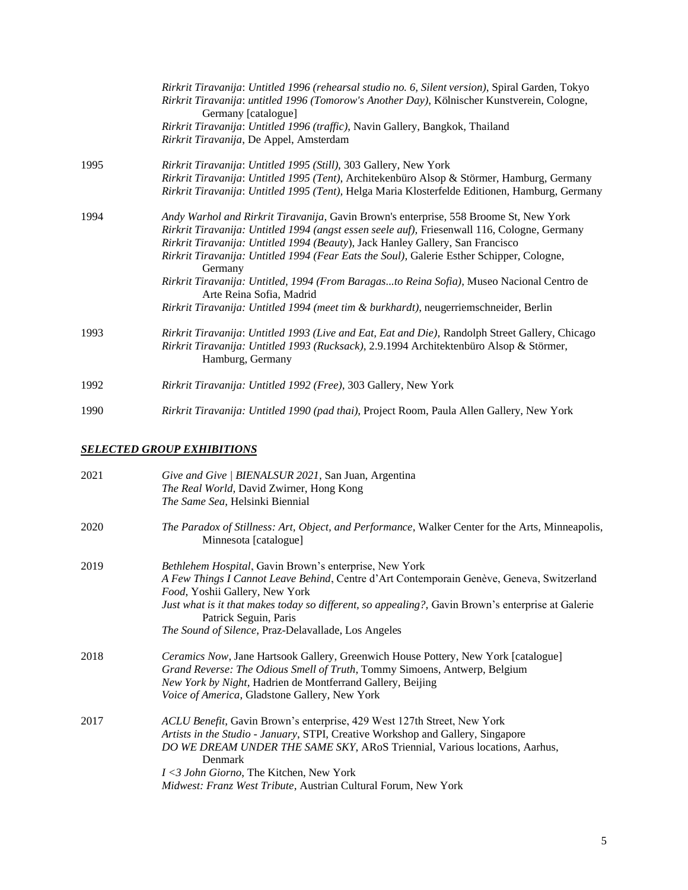|      | Rirkrit Tiravanija: Untitled 1996 (rehearsal studio no. 6, Silent version), Spiral Garden, Tokyo<br>Rirkrit Tiravanija: untitled 1996 (Tomorow's Another Day), Kölnischer Kunstverein, Cologne,<br>Germany [catalogue]<br>Rirkrit Tiravanija: Untitled 1996 (traffic), Navin Gallery, Bangkok, Thailand                                                                                                                                                                                                                                                                                           |
|------|---------------------------------------------------------------------------------------------------------------------------------------------------------------------------------------------------------------------------------------------------------------------------------------------------------------------------------------------------------------------------------------------------------------------------------------------------------------------------------------------------------------------------------------------------------------------------------------------------|
|      | Rirkrit Tiravanija, De Appel, Amsterdam                                                                                                                                                                                                                                                                                                                                                                                                                                                                                                                                                           |
| 1995 | Rirkrit Tiravanija: Untitled 1995 (Still), 303 Gallery, New York<br>Rirkrit Tiravanija: Untitled 1995 (Tent), Architekenbüro Alsop & Störmer, Hamburg, Germany<br>Rirkrit Tiravanija: Untitled 1995 (Tent), Helga Maria Klosterfelde Editionen, Hamburg, Germany                                                                                                                                                                                                                                                                                                                                  |
| 1994 | Andy Warhol and Rirkrit Tiravanija, Gavin Brown's enterprise, 558 Broome St, New York<br>Rirkrit Tiravanija: Untitled 1994 (angst essen seele auf), Friesenwall 116, Cologne, Germany<br>Rirkrit Tiravanija: Untitled 1994 (Beauty), Jack Hanley Gallery, San Francisco<br>Rirkrit Tiravanija: Untitled 1994 (Fear Eats the Soul), Galerie Esther Schipper, Cologne,<br>Germany<br>Rirkrit Tiravanija: Untitled, 1994 (From Baragasto Reina Sofia), Museo Nacional Centro de<br>Arte Reina Sofia, Madrid<br>Rirkrit Tiravanija: Untitled 1994 (meet tim & burkhardt), neugerriemschneider, Berlin |
| 1993 | Rirkrit Tiravanija: Untitled 1993 (Live and Eat, Eat and Die), Randolph Street Gallery, Chicago<br>Rirkrit Tiravanija: Untitled 1993 (Rucksack), 2.9.1994 Architektenbüro Alsop & Störmer,<br>Hamburg, Germany                                                                                                                                                                                                                                                                                                                                                                                    |
| 1992 | Rirkrit Tiravanija: Untitled 1992 (Free), 303 Gallery, New York                                                                                                                                                                                                                                                                                                                                                                                                                                                                                                                                   |
| 1990 | Rirkrit Tiravanija: Untitled 1990 (pad thai), Project Room, Paula Allen Gallery, New York                                                                                                                                                                                                                                                                                                                                                                                                                                                                                                         |

## *SELECTED GROUP EXHIBITIONS*

| 2021 | Give and Give   BIENALSUR 2021, San Juan, Argentina<br>The Real World, David Zwirner, Hong Kong<br>The Same Sea, Helsinki Biennial                                                                                                                                                                                                                                             |
|------|--------------------------------------------------------------------------------------------------------------------------------------------------------------------------------------------------------------------------------------------------------------------------------------------------------------------------------------------------------------------------------|
| 2020 | The Paradox of Stillness: Art, Object, and Performance, Walker Center for the Arts, Minneapolis,<br>Minnesota [catalogue]                                                                                                                                                                                                                                                      |
| 2019 | Bethlehem Hospital, Gavin Brown's enterprise, New York<br>A Few Things I Cannot Leave Behind, Centre d'Art Contemporain Genève, Geneva, Switzerland<br>Food, Yoshii Gallery, New York<br>Just what is it that makes today so different, so appealing?, Gavin Brown's enterprise at Galerie<br>Patrick Seguin, Paris<br>The Sound of Silence, Praz-Delavallade, Los Angeles     |
| 2018 | Ceramics Now, Jane Hartsook Gallery, Greenwich House Pottery, New York [catalogue]<br>Grand Reverse: The Odious Smell of Truth, Tommy Simoens, Antwerp, Belgium<br>New York by Night, Hadrien de Montferrand Gallery, Beijing<br><i>Voice of America, Gladstone Gallery, New York</i>                                                                                          |
| 2017 | ACLU Benefit, Gavin Brown's enterprise, 429 West 127th Street, New York<br>Artists in the Studio - January, STPI, Creative Workshop and Gallery, Singapore<br>DO WE DREAM UNDER THE SAME SKY, AROS Triennial, Various locations, Aarhus,<br>Denmark<br><i>I</i> <3 John Giorno, The Kitchen, New York<br><i>Midwest: Franz West Tribute, Austrian Cultural Forum, New York</i> |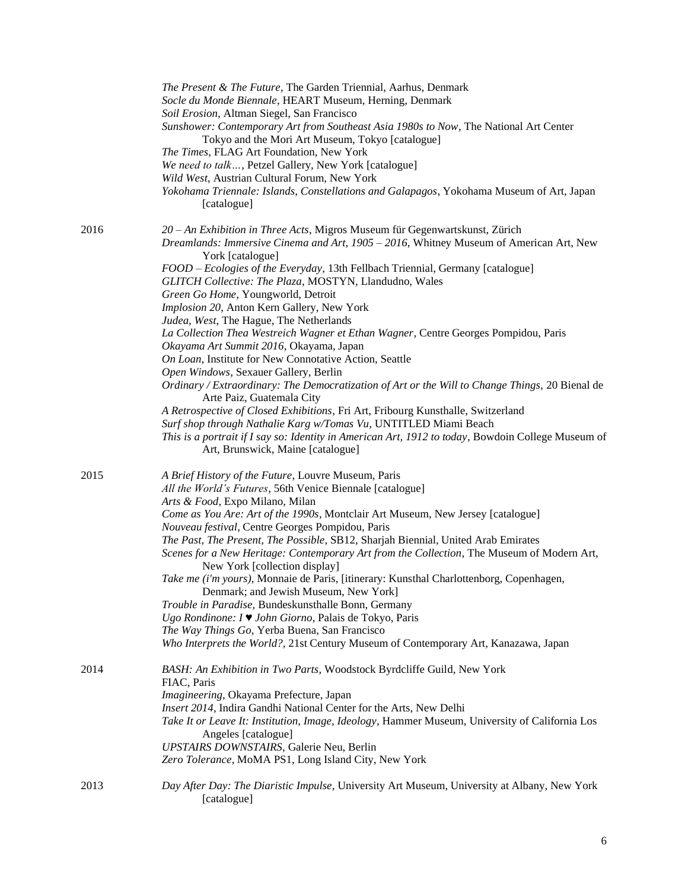|      | The Present & The Future, The Garden Triennial, Aarhus, Denmark<br>Socle du Monde Biennale, HEART Museum, Herning, Denmark<br>Soil Erosion, Altman Siegel, San Francisco<br>Sunshower: Contemporary Art from Southeast Asia 1980s to Now, The National Art Center<br>Tokyo and the Mori Art Museum, Tokyo [catalogue]<br>The Times, FLAG Art Foundation, New York<br>We need to talk, Petzel Gallery, New York [catalogue]<br>Wild West, Austrian Cultural Forum, New York<br>Yokohama Triennale: Islands, Constellations and Galapagos, Yokohama Museum of Art, Japan<br>[catalogue]                                                                                                                                                                                                                                                                                                                                                                                                                                                                                                                                                        |
|------|----------------------------------------------------------------------------------------------------------------------------------------------------------------------------------------------------------------------------------------------------------------------------------------------------------------------------------------------------------------------------------------------------------------------------------------------------------------------------------------------------------------------------------------------------------------------------------------------------------------------------------------------------------------------------------------------------------------------------------------------------------------------------------------------------------------------------------------------------------------------------------------------------------------------------------------------------------------------------------------------------------------------------------------------------------------------------------------------------------------------------------------------|
| 2016 | 20 - An Exhibition in Three Acts, Migros Museum für Gegenwartskunst, Zürich<br>Dreamlands: Immersive Cinema and Art, 1905 - 2016, Whitney Museum of American Art, New<br>York [catalogue]<br>FOOD - Ecologies of the Everyday, 13th Fellbach Triennial, Germany [catalogue]<br>GLITCH Collective: The Plaza, MOSTYN, Llandudno, Wales<br>Green Go Home, Youngworld, Detroit<br>Implosion 20, Anton Kern Gallery, New York<br>Judea, West, The Hague, The Netherlands<br>La Collection Thea Westreich Wagner et Ethan Wagner, Centre Georges Pompidou, Paris<br>Okayama Art Summit 2016, Okayama, Japan<br>On Loan, Institute for New Connotative Action, Seattle<br>Open Windows, Sexauer Gallery, Berlin<br>Ordinary / Extraordinary: The Democratization of Art or the Will to Change Things, 20 Bienal de<br>Arte Paiz, Guatemala City<br>A Retrospective of Closed Exhibitions, Fri Art, Fribourg Kunsthalle, Switzerland<br>Surf shop through Nathalie Karg w/Tomas Vu, UNTITLED Miami Beach<br>This is a portrait if I say so: Identity in American Art, 1912 to today, Bowdoin College Museum of<br>Art, Brunswick, Maine [catalogue] |
| 2015 | A Brief History of the Future, Louvre Museum, Paris<br>All the World's Futures, 56th Venice Biennale [catalogue]<br>Arts & Food, Expo Milano, Milan<br>Come as You Are: Art of the 1990s, Montclair Art Museum, New Jersey [catalogue]<br>Nouveau festival, Centre Georges Pompidou, Paris<br>The Past, The Present, The Possible, SB12, Sharjah Biennial, United Arab Emirates<br>Scenes for a New Heritage: Contemporary Art from the Collection, The Museum of Modern Art,<br>New York [collection display]<br>Take me (i'm yours), Monnaie de Paris, [itinerary: Kunsthal Charlottenborg, Copenhagen,<br>Denmark; and Jewish Museum, New York]<br>Trouble in Paradise, Bundeskunsthalle Bonn, Germany<br>Ugo Rondinone: I ♥ John Giorno, Palais de Tokyo, Paris<br>The Way Things Go, Yerba Buena, San Francisco<br>Who Interprets the World?, 21st Century Museum of Contemporary Art, Kanazawa, Japan                                                                                                                                                                                                                                  |
| 2014 | BASH: An Exhibition in Two Parts, Woodstock Byrdcliffe Guild, New York<br>FIAC, Paris<br>Imagineering, Okayama Prefecture, Japan<br>Insert 2014, Indira Gandhi National Center for the Arts, New Delhi<br>Take It or Leave It: Institution, Image, Ideology, Hammer Museum, University of California Los<br>Angeles [catalogue]<br>UPSTAIRS DOWNSTAIRS, Galerie Neu, Berlin<br>Zero Tolerance, MoMA PS1, Long Island City, New York                                                                                                                                                                                                                                                                                                                                                                                                                                                                                                                                                                                                                                                                                                          |
| 2013 | Day After Day: The Diaristic Impulse, University Art Museum, University at Albany, New York<br>[catalogue]                                                                                                                                                                                                                                                                                                                                                                                                                                                                                                                                                                                                                                                                                                                                                                                                                                                                                                                                                                                                                                   |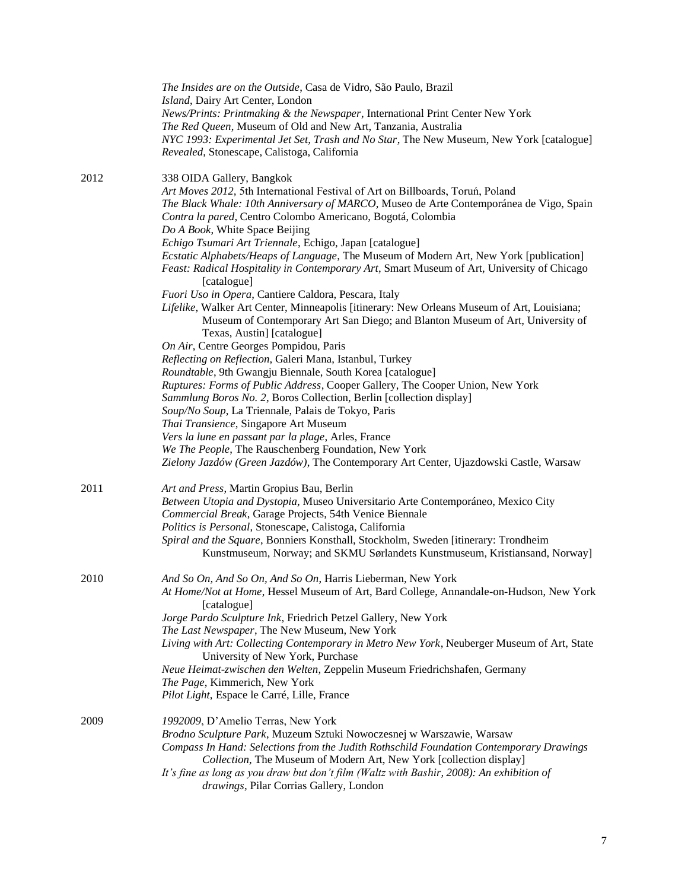|      | The Insides are on the Outside, Casa de Vidro, São Paulo, Brazil<br>Island, Dairy Art Center, London<br>News/Prints: Printmaking & the Newspaper, International Print Center New York<br>The Red Queen, Museum of Old and New Art, Tanzania, Australia<br>NYC 1993: Experimental Jet Set, Trash and No Star, The New Museum, New York [catalogue]<br>Revealed, Stonescape, Calistoga, California |
|------|--------------------------------------------------------------------------------------------------------------------------------------------------------------------------------------------------------------------------------------------------------------------------------------------------------------------------------------------------------------------------------------------------|
| 2012 | 338 OIDA Gallery, Bangkok<br>Art Moves 2012, 5th International Festival of Art on Billboards, Toruń, Poland<br>The Black Whale: 10th Anniversary of MARCO, Museo de Arte Contemporánea de Vigo, Spain<br>Contra la pared, Centro Colombo Americano, Bogotá, Colombia<br>Do A Book, White Space Beijing                                                                                           |
|      | Echigo Tsumari Art Triennale, Echigo, Japan [catalogue]                                                                                                                                                                                                                                                                                                                                          |
|      | Ecstatic Alphabets/Heaps of Language, The Museum of Modern Art, New York [publication]<br>Feast: Radical Hospitality in Contemporary Art, Smart Museum of Art, University of Chicago<br>[catalogue]                                                                                                                                                                                              |
|      | Fuori Uso in Opera, Cantiere Caldora, Pescara, Italy<br>Lifelike, Walker Art Center, Minneapolis [itinerary: New Orleans Museum of Art, Louisiana;<br>Museum of Contemporary Art San Diego; and Blanton Museum of Art, University of<br>Texas, Austin] [catalogue]                                                                                                                               |
|      | On Air, Centre Georges Pompidou, Paris                                                                                                                                                                                                                                                                                                                                                           |
|      | Reflecting on Reflection, Galeri Mana, Istanbul, Turkey<br>Roundtable, 9th Gwangju Biennale, South Korea [catalogue]                                                                                                                                                                                                                                                                             |
|      | Ruptures: Forms of Public Address, Cooper Gallery, The Cooper Union, New York                                                                                                                                                                                                                                                                                                                    |
|      | Sammlung Boros No. 2, Boros Collection, Berlin [collection display]                                                                                                                                                                                                                                                                                                                              |
|      | Soup/No Soup, La Triennale, Palais de Tokyo, Paris                                                                                                                                                                                                                                                                                                                                               |
|      | Thai Transience, Singapore Art Museum                                                                                                                                                                                                                                                                                                                                                            |
|      | Vers la lune en passant par la plage, Arles, France<br>We The People, The Rauschenberg Foundation, New York                                                                                                                                                                                                                                                                                      |
|      | Zielony Jazdów (Green Jazdów), The Contemporary Art Center, Ujazdowski Castle, Warsaw                                                                                                                                                                                                                                                                                                            |
| 2011 | Art and Press, Martin Gropius Bau, Berlin                                                                                                                                                                                                                                                                                                                                                        |
|      | Between Utopia and Dystopia, Museo Universitario Arte Contemporáneo, Mexico City<br>Commercial Break, Garage Projects, 54th Venice Biennale                                                                                                                                                                                                                                                      |
|      | Politics is Personal, Stonescape, Calistoga, California                                                                                                                                                                                                                                                                                                                                          |
|      | Spiral and the Square, Bonniers Konsthall, Stockholm, Sweden [itinerary: Trondheim<br>Kunstmuseum, Norway; and SKMU Sørlandets Kunstmuseum, Kristiansand, Norway]                                                                                                                                                                                                                                |
| 2010 | And So On, And So On, And So On, Harris Lieberman, New York                                                                                                                                                                                                                                                                                                                                      |
|      | At Home/Not at Home, Hessel Museum of Art, Bard College, Annandale-on-Hudson, New York<br>[catalogue]<br>Jorge Pardo Sculpture Ink, Friedrich Petzel Gallery, New York                                                                                                                                                                                                                           |
|      | The Last Newspaper, The New Museum, New York                                                                                                                                                                                                                                                                                                                                                     |
|      | Living with Art: Collecting Contemporary in Metro New York, Neuberger Museum of Art, State<br>University of New York, Purchase                                                                                                                                                                                                                                                                   |
|      | Neue Heimat-zwischen den Welten, Zeppelin Museum Friedrichshafen, Germany                                                                                                                                                                                                                                                                                                                        |
|      | The Page, Kimmerich, New York<br>Pilot Light, Espace le Carré, Lille, France                                                                                                                                                                                                                                                                                                                     |
| 2009 | 1992009, D'Amelio Terras, New York                                                                                                                                                                                                                                                                                                                                                               |
|      | Brodno Sculpture Park, Muzeum Sztuki Nowoczesnej w Warszawie, Warsaw                                                                                                                                                                                                                                                                                                                             |
|      | Compass In Hand: Selections from the Judith Rothschild Foundation Contemporary Drawings<br>Collection, The Museum of Modern Art, New York [collection display]                                                                                                                                                                                                                                   |
|      | It's fine as long as you draw but don't film (Waltz with Bashir, 2008): An exhibition of                                                                                                                                                                                                                                                                                                         |
|      | drawings, Pilar Corrias Gallery, London                                                                                                                                                                                                                                                                                                                                                          |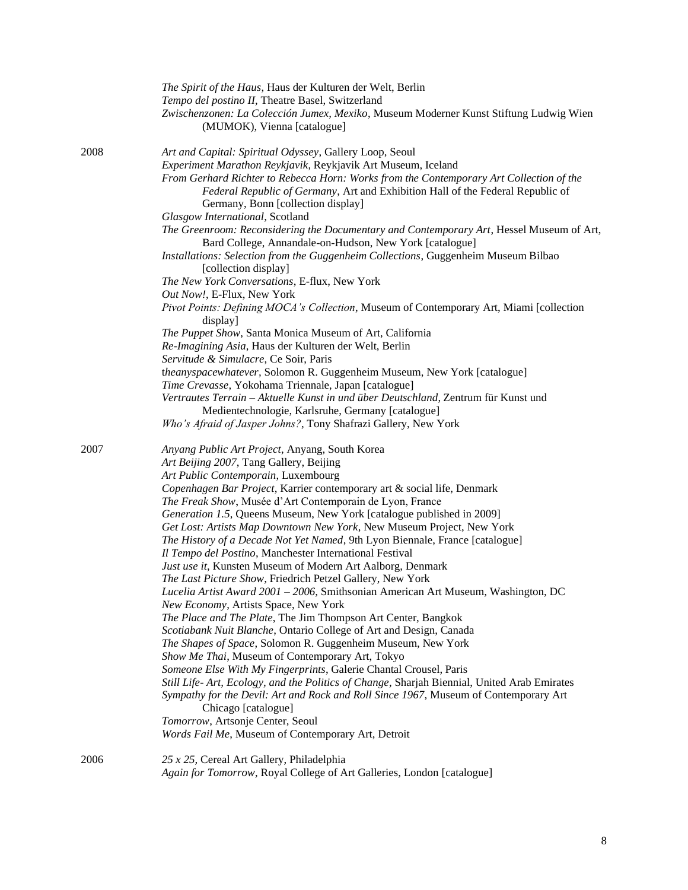|      | The Spirit of the Haus, Haus der Kulturen der Welt, Berlin<br>Tempo del postino II, Theatre Basel, Switzerland<br>Zwischenzonen: La Colección Jumex, Mexiko, Museum Moderner Kunst Stiftung Ludwig Wien<br>(MUMOK), Vienna [catalogue]                                                                                                      |
|------|---------------------------------------------------------------------------------------------------------------------------------------------------------------------------------------------------------------------------------------------------------------------------------------------------------------------------------------------|
| 2008 | Art and Capital: Spiritual Odyssey, Gallery Loop, Seoul<br>Experiment Marathon Reykjavik, Reykjavik Art Museum, Iceland<br>From Gerhard Richter to Rebecca Horn: Works from the Contemporary Art Collection of the<br>Federal Republic of Germany, Art and Exhibition Hall of the Federal Republic of<br>Germany, Bonn [collection display] |
|      | Glasgow International, Scotland<br>The Greenroom: Reconsidering the Documentary and Contemporary Art, Hessel Museum of Art,<br>Bard College, Annandale-on-Hudson, New York [catalogue]<br>Installations: Selection from the Guggenheim Collections, Guggenheim Museum Bilbao<br>[collection display]                                        |
|      | The New York Conversations, E-flux, New York                                                                                                                                                                                                                                                                                                |
|      | Out Now!, E-Flux, New York<br>Pivot Points: Defining MOCA's Collection, Museum of Contemporary Art, Miami [collection<br>display]                                                                                                                                                                                                           |
|      | The Puppet Show, Santa Monica Museum of Art, California<br>Re-Imagining Asia, Haus der Kulturen der Welt, Berlin<br>Servitude & Simulacre, Ce Soir, Paris                                                                                                                                                                                   |
|      | theanyspacewhatever, Solomon R. Guggenheim Museum, New York [catalogue]<br>Time Crevasse, Yokohama Triennale, Japan [catalogue]                                                                                                                                                                                                             |
|      | Vertrautes Terrain - Aktuelle Kunst in und über Deutschland, Zentrum für Kunst und<br>Medientechnologie, Karlsruhe, Germany [catalogue]<br>Who's Afraid of Jasper Johns?, Tony Shafrazi Gallery, New York                                                                                                                                   |
| 2007 | Anyang Public Art Project, Anyang, South Korea<br>Art Beijing 2007, Tang Gallery, Beijing                                                                                                                                                                                                                                                   |
|      | Art Public Contemporain, Luxembourg                                                                                                                                                                                                                                                                                                         |
|      | Copenhagen Bar Project, Karrier contemporary art & social life, Denmark<br>The Freak Show, Musée d'Art Contemporain de Lyon, France                                                                                                                                                                                                         |
|      | Generation 1.5, Queens Museum, New York [catalogue published in 2009]                                                                                                                                                                                                                                                                       |
|      | Get Lost: Artists Map Downtown New York, New Museum Project, New York                                                                                                                                                                                                                                                                       |
|      | The History of a Decade Not Yet Named, 9th Lyon Biennale, France [catalogue]<br>Il Tempo del Postino, Manchester International Festival                                                                                                                                                                                                     |
|      | Just use it, Kunsten Museum of Modern Art Aalborg, Denmark                                                                                                                                                                                                                                                                                  |
|      | The Last Picture Show, Friedrich Petzel Gallery, New York                                                                                                                                                                                                                                                                                   |
|      | Lucelia Artist Award 2001 - 2006, Smithsonian American Art Museum, Washington, DC<br>New Economy, Artists Space, New York                                                                                                                                                                                                                   |
|      | The Place and The Plate, The Jim Thompson Art Center, Bangkok<br>Scotiabank Nuit Blanche, Ontario College of Art and Design, Canada                                                                                                                                                                                                         |
|      | The Shapes of Space, Solomon R. Guggenheim Museum, New York                                                                                                                                                                                                                                                                                 |
|      | Show Me Thai, Museum of Contemporary Art, Tokyo                                                                                                                                                                                                                                                                                             |
|      | Someone Else With My Fingerprints, Galerie Chantal Crousel, Paris                                                                                                                                                                                                                                                                           |
|      | Still Life- Art, Ecology, and the Politics of Change, Sharjah Biennial, United Arab Emirates<br>Sympathy for the Devil: Art and Rock and Roll Since 1967, Museum of Contemporary Art<br>Chicago [catalogue]                                                                                                                                 |
|      | Tomorrow, Artsonje Center, Seoul                                                                                                                                                                                                                                                                                                            |
|      | Words Fail Me, Museum of Contemporary Art, Detroit                                                                                                                                                                                                                                                                                          |
| 2006 | 25 x 25, Cereal Art Gallery, Philadelphia<br>Again for Tomorrow, Royal College of Art Galleries, London [catalogue]                                                                                                                                                                                                                         |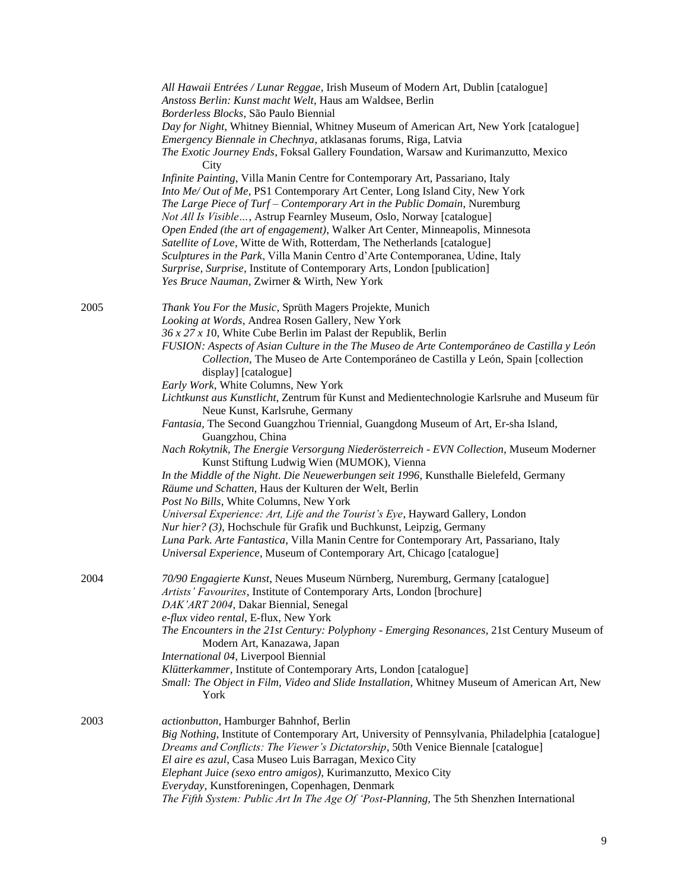|      | All Hawaii Entrées / Lunar Reggae, Irish Museum of Modern Art, Dublin [catalogue]<br>Anstoss Berlin: Kunst macht Welt, Haus am Waldsee, Berlin               |
|------|--------------------------------------------------------------------------------------------------------------------------------------------------------------|
|      | Borderless Blocks, São Paulo Biennial                                                                                                                        |
|      | Day for Night, Whitney Biennial, Whitney Museum of American Art, New York [catalogue]                                                                        |
|      | Emergency Biennale in Chechnya, atklasanas forums, Riga, Latvia<br>The Exotic Journey Ends, Foksal Gallery Foundation, Warsaw and Kurimanzutto, Mexico       |
|      | City                                                                                                                                                         |
|      | Infinite Painting, Villa Manin Centre for Contemporary Art, Passariano, Italy<br>Into Me/ Out of Me, PS1 Contemporary Art Center, Long Island City, New York |
|      | The Large Piece of Turf – Contemporary Art in the Public Domain, Nuremburg                                                                                   |
|      | Not All Is Visible, Astrup Fearnley Museum, Oslo, Norway [catalogue]                                                                                         |
|      | Open Ended (the art of engagement), Walker Art Center, Minneapolis, Minnesota                                                                                |
|      | Satellite of Love, Witte de With, Rotterdam, The Netherlands [catalogue]                                                                                     |
|      | Sculptures in the Park, Villa Manin Centro d'Arte Contemporanea, Udine, Italy                                                                                |
|      | Surprise, Surprise, Institute of Contemporary Arts, London [publication]                                                                                     |
|      | Yes Bruce Nauman, Zwirner & Wirth, New York                                                                                                                  |
| 2005 | Thank You For the Music, Sprüth Magers Projekte, Munich                                                                                                      |
|      | Looking at Words, Andrea Rosen Gallery, New York                                                                                                             |
|      | $36x27x10$ , White Cube Berlin im Palast der Republik, Berlin<br>FUSION: Aspects of Asian Culture in the The Museo de Arte Contemporáneo de Castilla y León  |
|      | Collection, The Museo de Arte Contemporáneo de Castilla y León, Spain [collection<br>display] [catalogue]                                                    |
|      | Early Work, White Columns, New York                                                                                                                          |
|      | Lichtkunst aus Kunstlicht, Zentrum für Kunst and Medientechnologie Karlsruhe and Museum für                                                                  |
|      | Neue Kunst, Karlsruhe, Germany                                                                                                                               |
|      | Fantasia, The Second Guangzhou Triennial, Guangdong Museum of Art, Er-sha Island,<br>Guangzhou, China                                                        |
|      | Nach Rokytnik, The Energie Versorgung Niederösterreich - EVN Collection, Museum Moderner<br>Kunst Stiftung Ludwig Wien (MUMOK), Vienna                       |
|      | In the Middle of the Night. Die Neuewerbungen seit 1996, Kunsthalle Bielefeld, Germany                                                                       |
|      | Räume und Schatten, Haus der Kulturen der Welt, Berlin                                                                                                       |
|      | Post No Bills, White Columns, New York                                                                                                                       |
|      | Universal Experience: Art, Life and the Tourist's Eye, Hayward Gallery, London<br>Nur hier? (3), Hochschule für Grafik und Buchkunst, Leipzig, Germany       |
|      | Luna Park. Arte Fantastica, Villa Manin Centre for Contemporary Art, Passariano, Italy                                                                       |
|      | Universal Experience, Museum of Contemporary Art, Chicago [catalogue]                                                                                        |
| 2004 | 70/90 Engagierte Kunst, Neues Museum Nürnberg, Nuremburg, Germany [catalogue]<br>Artists' Favourites, Institute of Contemporary Arts, London [brochure]      |
|      | DAK'ART 2004, Dakar Biennial, Senegal                                                                                                                        |
|      | e-flux video rental, E-flux, New York                                                                                                                        |
|      | The Encounters in the 21st Century: Polyphony - Emerging Resonances, 21st Century Museum of                                                                  |
|      | Modern Art, Kanazawa, Japan                                                                                                                                  |
|      | International 04, Liverpool Biennial                                                                                                                         |
|      | Klütterkammer, Institute of Contemporary Arts, London [catalogue]                                                                                            |
|      | Small: The Object in Film, Video and Slide Installation, Whitney Museum of American Art, New<br>York                                                         |
| 2003 | actionbutton, Hamburger Bahnhof, Berlin                                                                                                                      |
|      | Big Nothing, Institute of Contemporary Art, University of Pennsylvania, Philadelphia [catalogue]                                                             |
|      | Dreams and Conflicts: The Viewer's Dictatorship, 50th Venice Biennale [catalogue]                                                                            |
|      | El aire es azul, Casa Museo Luis Barragan, Mexico City                                                                                                       |
|      | Elephant Juice (sexo entro amigos), Kurimanzutto, Mexico City                                                                                                |
|      | Everyday, Kunstforeningen, Copenhagen, Denmark<br>The Fifth System: Public Art In The Age Of 'Post-Planning, The 5th Shenzhen International                  |
|      |                                                                                                                                                              |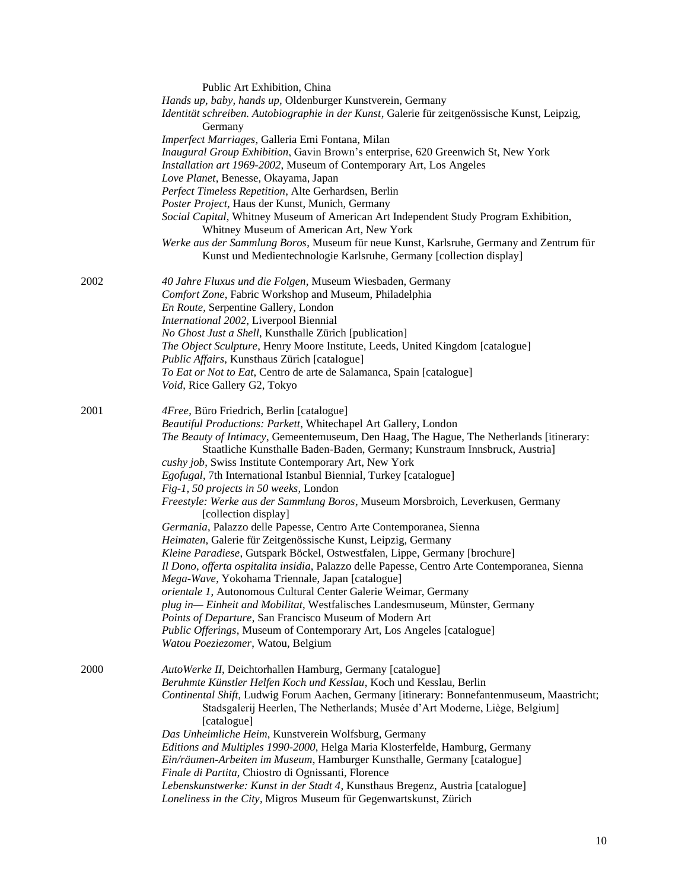|      | Public Art Exhibition, China                                                                  |
|------|-----------------------------------------------------------------------------------------------|
|      | Hands up, baby, hands up, Oldenburger Kunstverein, Germany                                    |
|      | Identität schreiben. Autobiographie in der Kunst, Galerie für zeitgenössische Kunst, Leipzig, |
|      | Germany                                                                                       |
|      | Imperfect Marriages, Galleria Emi Fontana, Milan                                              |
|      | Inaugural Group Exhibition, Gavin Brown's enterprise, 620 Greenwich St, New York              |
|      | Installation art 1969-2002, Museum of Contemporary Art, Los Angeles                           |
|      |                                                                                               |
|      | Love Planet, Benesse, Okayama, Japan                                                          |
|      | Perfect Timeless Repetition, Alte Gerhardsen, Berlin                                          |
|      | Poster Project, Haus der Kunst, Munich, Germany                                               |
|      | Social Capital, Whitney Museum of American Art Independent Study Program Exhibition,          |
|      | Whitney Museum of American Art, New York                                                      |
|      | Werke aus der Sammlung Boros, Museum für neue Kunst, Karlsruhe, Germany and Zentrum für       |
|      | Kunst und Medientechnologie Karlsruhe, Germany [collection display]                           |
| 2002 | 40 Jahre Fluxus und die Folgen, Museum Wiesbaden, Germany                                     |
|      | Comfort Zone, Fabric Workshop and Museum, Philadelphia                                        |
|      | En Route, Serpentine Gallery, London                                                          |
|      | International 2002, Liverpool Biennial                                                        |
|      | No Ghost Just a Shell, Kunsthalle Zürich [publication]                                        |
|      | The Object Sculpture, Henry Moore Institute, Leeds, United Kingdom [catalogue]                |
|      | Public Affairs, Kunsthaus Zürich [catalogue]                                                  |
|      | To Eat or Not to Eat, Centro de arte de Salamanca, Spain [catalogue]                          |
|      | Void, Rice Gallery G2, Tokyo                                                                  |
|      |                                                                                               |
| 2001 | 4Free, Büro Friedrich, Berlin [catalogue]                                                     |
|      | Beautiful Productions: Parkett, Whitechapel Art Gallery, London                               |
|      | The Beauty of Intimacy, Gemeentemuseum, Den Haag, The Hague, The Netherlands [itinerary:      |
|      | Staatliche Kunsthalle Baden-Baden, Germany; Kunstraum Innsbruck, Austria]                     |
|      | cushy job, Swiss Institute Contemporary Art, New York                                         |
|      | Egofugal, 7th International Istanbul Biennial, Turkey [catalogue]                             |
|      | Fig-1, 50 projects in 50 weeks, London                                                        |
|      | Freestyle: Werke aus der Sammlung Boros, Museum Morsbroich, Leverkusen, Germany               |
|      | [collection display]                                                                          |
|      | Germania, Palazzo delle Papesse, Centro Arte Contemporanea, Sienna                            |
|      | Heimaten, Galerie für Zeitgenössische Kunst, Leipzig, Germany                                 |
|      |                                                                                               |
|      | Kleine Paradiese, Gutspark Böckel, Ostwestfalen, Lippe, Germany [brochure]                    |
|      | Il Dono, offerta ospitalita insidia, Palazzo delle Papesse, Centro Arte Contemporanea, Sienna |
|      | Mega-Wave, Yokohama Triennale, Japan [catalogue]                                              |
|      | orientale 1, Autonomous Cultural Center Galerie Weimar, Germany                               |
|      | plug in— Einheit and Mobilitat, Westfalisches Landesmuseum, Münster, Germany                  |
|      | Points of Departure, San Francisco Museum of Modern Art                                       |
|      | Public Offerings, Museum of Contemporary Art, Los Angeles [catalogue]                         |
|      | Watou Poeziezomer, Watou, Belgium                                                             |
| 2000 | AutoWerke II, Deichtorhallen Hamburg, Germany [catalogue]                                     |
|      | Beruhmte Künstler Helfen Koch und Kesslau, Koch und Kesslau, Berlin                           |
|      | Continental Shift, Ludwig Forum Aachen, Germany [itinerary: Bonnefantenmuseum, Maastricht;    |
|      | Stadsgalerij Heerlen, The Netherlands; Musée d'Art Moderne, Liège, Belgium]<br>[catalogue]    |
|      | Das Unheimliche Heim, Kunstverein Wolfsburg, Germany                                          |
|      | Editions and Multiples 1990-2000, Helga Maria Klosterfelde, Hamburg, Germany                  |
|      | Ein/räumen-Arbeiten im Museum, Hamburger Kunsthalle, Germany [catalogue]                      |
|      | Finale di Partita, Chiostro di Ognissanti, Florence                                           |
|      | Lebenskunstwerke: Kunst in der Stadt 4, Kunsthaus Bregenz, Austria [catalogue]                |
|      | Loneliness in the City, Migros Museum für Gegenwartskunst, Zürich                             |
|      |                                                                                               |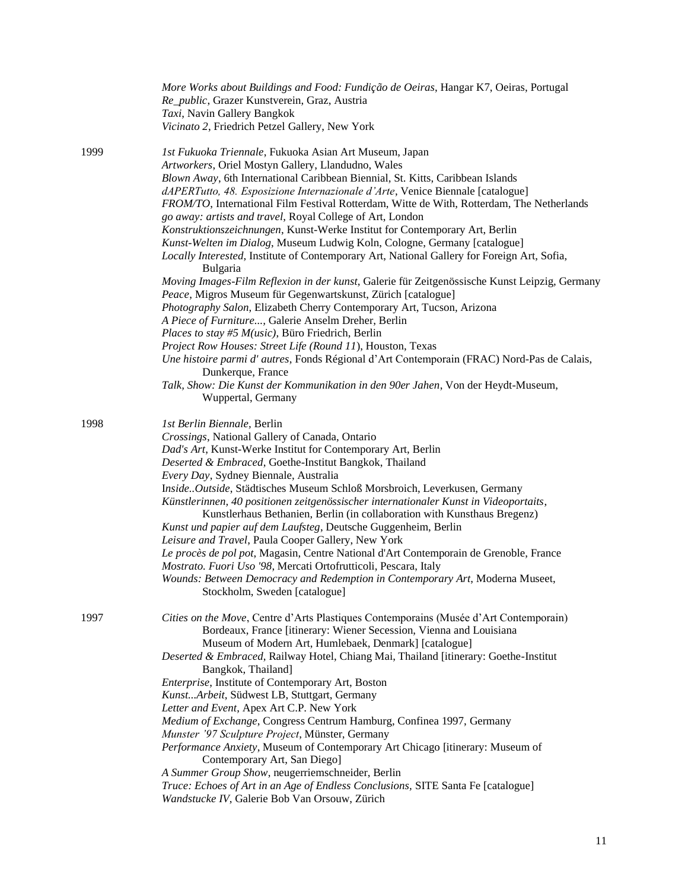|      | More Works about Buildings and Food: Fundição de Oeiras, Hangar K7, Oeiras, Portugal<br>Re_public, Grazer Kunstverein, Graz, Austria<br>Taxi, Navin Gallery Bangkok<br>Vicinato 2, Friedrich Petzel Gallery, New York                                                                                                                                                                                                                      |
|------|--------------------------------------------------------------------------------------------------------------------------------------------------------------------------------------------------------------------------------------------------------------------------------------------------------------------------------------------------------------------------------------------------------------------------------------------|
| 1999 | 1st Fukuoka Triennale, Fukuoka Asian Art Museum, Japan<br>Artworkers, Oriel Mostyn Gallery, Llandudno, Wales<br>Blown Away, 6th International Caribbean Biennial, St. Kitts, Caribbean Islands<br>dAPERTutto, 48. Esposizione Internazionale d'Arte, Venice Biennale [catalogue]<br>FROM/TO, International Film Festival Rotterdam, Witte de With, Rotterdam, The Netherlands<br>go away: artists and travel, Royal College of Art, London |
|      | Konstruktionszeichnungen, Kunst-Werke Institut for Contemporary Art, Berlin<br>Kunst-Welten im Dialog, Museum Ludwig Koln, Cologne, Germany [catalogue]<br>Locally Interested, Institute of Contemporary Art, National Gallery for Foreign Art, Sofia,<br>Bulgaria                                                                                                                                                                         |
|      | Moving Images-Film Reflexion in der kunst, Galerie für Zeitgenössische Kunst Leipzig, Germany<br>Peace, Migros Museum für Gegenwartskunst, Zürich [catalogue]<br>Photography Salon, Elizabeth Cherry Contemporary Art, Tucson, Arizona                                                                                                                                                                                                     |
|      | A Piece of Furniture, Galerie Anselm Dreher, Berlin                                                                                                                                                                                                                                                                                                                                                                                        |
|      | Places to stay #5 M(usic), Büro Friedrich, Berlin                                                                                                                                                                                                                                                                                                                                                                                          |
|      | Project Row Houses: Street Life (Round 11), Houston, Texas                                                                                                                                                                                                                                                                                                                                                                                 |
|      | Une histoire parmi d'autres, Fonds Régional d'Art Contemporain (FRAC) Nord-Pas de Calais,<br>Dunkerque, France<br>Talk, Show: Die Kunst der Kommunikation in den 90er Jahen, Von der Heydt-Museum,                                                                                                                                                                                                                                         |
|      | Wuppertal, Germany                                                                                                                                                                                                                                                                                                                                                                                                                         |
| 1998 | 1st Berlin Biennale, Berlin                                                                                                                                                                                                                                                                                                                                                                                                                |
|      | Crossings, National Gallery of Canada, Ontario                                                                                                                                                                                                                                                                                                                                                                                             |
|      | Dad's Art, Kunst-Werke Institut for Contemporary Art, Berlin                                                                                                                                                                                                                                                                                                                                                                               |
|      | Deserted & Embraced, Goethe-Institut Bangkok, Thailand                                                                                                                                                                                                                                                                                                                                                                                     |
|      | Every Day, Sydney Biennale, Australia<br>InsideOutside, Städtisches Museum Schloß Morsbroich, Leverkusen, Germany                                                                                                                                                                                                                                                                                                                          |
|      | Künstlerinnen, 40 positionen zeitgenössischer internationaler Kunst in Videoportaits,                                                                                                                                                                                                                                                                                                                                                      |
|      | Kunstlerhaus Bethanien, Berlin (in collaboration with Kunsthaus Bregenz)                                                                                                                                                                                                                                                                                                                                                                   |
|      | Kunst und papier auf dem Laufsteg, Deutsche Guggenheim, Berlin                                                                                                                                                                                                                                                                                                                                                                             |
|      | Leisure and Travel, Paula Cooper Gallery, New York                                                                                                                                                                                                                                                                                                                                                                                         |
|      | Le procès de pol pot, Magasin, Centre National d'Art Contemporain de Grenoble, France                                                                                                                                                                                                                                                                                                                                                      |
|      | Mostrato. Fuori Uso '98, Mercati Ortofrutticoli, Pescara, Italy                                                                                                                                                                                                                                                                                                                                                                            |
|      | Wounds: Between Democracy and Redemption in Contemporary Art, Moderna Museet,                                                                                                                                                                                                                                                                                                                                                              |
|      | Stockholm, Sweden [catalogue]                                                                                                                                                                                                                                                                                                                                                                                                              |
| 1997 | Cities on the Move, Centre d'Arts Plastiques Contemporains (Musée d'Art Contemporain)<br>Bordeaux, France [itinerary: Wiener Secession, Vienna and Louisiana                                                                                                                                                                                                                                                                               |
|      | Museum of Modern Art, Humlebaek, Denmark] [catalogue]                                                                                                                                                                                                                                                                                                                                                                                      |
|      | Deserted & Embraced, Railway Hotel, Chiang Mai, Thailand [itinerary: Goethe-Institut<br>Bangkok, Thailand]                                                                                                                                                                                                                                                                                                                                 |
|      | Enterprise, Institute of Contemporary Art, Boston                                                                                                                                                                                                                                                                                                                                                                                          |
|      | Kunst Arbeit, Südwest LB, Stuttgart, Germany<br>Letter and Event, Apex Art C.P. New York                                                                                                                                                                                                                                                                                                                                                   |
|      | Medium of Exchange, Congress Centrum Hamburg, Confinea 1997, Germany                                                                                                                                                                                                                                                                                                                                                                       |
|      | Munster '97 Sculpture Project, Münster, Germany                                                                                                                                                                                                                                                                                                                                                                                            |
|      | Performance Anxiety, Museum of Contemporary Art Chicago [itinerary: Museum of                                                                                                                                                                                                                                                                                                                                                              |
|      | Contemporary Art, San Diego]                                                                                                                                                                                                                                                                                                                                                                                                               |
|      | A Summer Group Show, neugerriemschneider, Berlin                                                                                                                                                                                                                                                                                                                                                                                           |
|      | Truce: Echoes of Art in an Age of Endless Conclusions, SITE Santa Fe [catalogue]<br>Wandstucke IV, Galerie Bob Van Orsouw, Zürich                                                                                                                                                                                                                                                                                                          |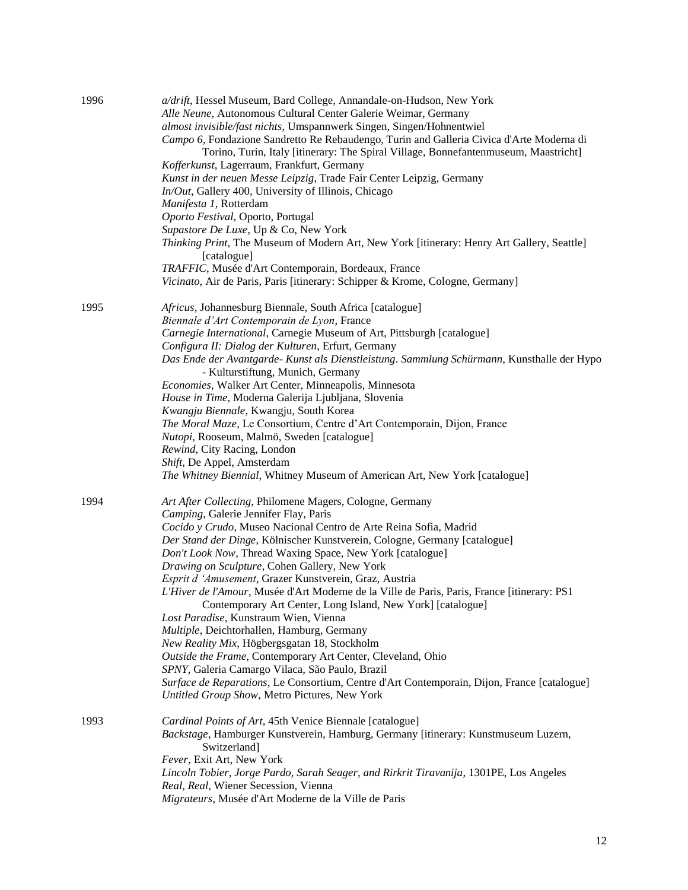| 1996 | a/drift, Hessel Museum, Bard College, Annandale-on-Hudson, New York<br>Alle Neune, Autonomous Cultural Center Galerie Weimar, Germany<br>almost invisible/fast nichts, Umspannwerk Singen, Singen/Hohnentwiel<br>Campo 6, Fondazione Sandretto Re Rebaudengo, Turin and Galleria Civica d'Arte Moderna di |
|------|-----------------------------------------------------------------------------------------------------------------------------------------------------------------------------------------------------------------------------------------------------------------------------------------------------------|
|      | Torino, Turin, Italy [itinerary: The Spiral Village, Bonnefantenmuseum, Maastricht]                                                                                                                                                                                                                       |
|      | Kofferkunst, Lagerraum, Frankfurt, Germany<br>Kunst in der neuen Messe Leipzig, Trade Fair Center Leipzig, Germany                                                                                                                                                                                        |
|      | In/Out, Gallery 400, University of Illinois, Chicago                                                                                                                                                                                                                                                      |
|      | Manifesta 1, Rotterdam                                                                                                                                                                                                                                                                                    |
|      | Oporto Festival, Oporto, Portugal                                                                                                                                                                                                                                                                         |
|      | Supastore De Luxe, Up & Co, New York                                                                                                                                                                                                                                                                      |
|      | Thinking Print, The Museum of Modern Art, New York [itinerary: Henry Art Gallery, Seattle]<br>[catalogue]                                                                                                                                                                                                 |
|      | TRAFFIC, Musée d'Art Contemporain, Bordeaux, France                                                                                                                                                                                                                                                       |
|      | Vicinato, Air de Paris, Paris [itinerary: Schipper & Krome, Cologne, Germany]                                                                                                                                                                                                                             |
| 1995 | Africus, Johannesburg Biennale, South Africa [catalogue]                                                                                                                                                                                                                                                  |
|      | Biennale d'Art Contemporain de Lyon, France                                                                                                                                                                                                                                                               |
|      | Carnegie International, Carnegie Museum of Art, Pittsburgh [catalogue]                                                                                                                                                                                                                                    |
|      | Configura II: Dialog der Kulturen, Erfurt, Germany                                                                                                                                                                                                                                                        |
|      | Das Ende der Avantgarde- Kunst als Dienstleistung. Sammlung Schürmann, Kunsthalle der Hypo                                                                                                                                                                                                                |
|      | - Kulturstiftung, Munich, Germany                                                                                                                                                                                                                                                                         |
|      | Economies, Walker Art Center, Minneapolis, Minnesota                                                                                                                                                                                                                                                      |
|      | House in Time, Moderna Galerija Ljubljana, Slovenia                                                                                                                                                                                                                                                       |
|      | Kwangju Biennale, Kwangju, South Korea                                                                                                                                                                                                                                                                    |
|      | The Moral Maze, Le Consortium, Centre d'Art Contemporain, Dijon, France                                                                                                                                                                                                                                   |
|      | Nutopi, Rooseum, Malmö, Sweden [catalogue]                                                                                                                                                                                                                                                                |
|      | Rewind, City Racing, London<br>Shift, De Appel, Amsterdam                                                                                                                                                                                                                                                 |
|      | The Whitney Biennial, Whitney Museum of American Art, New York [catalogue]                                                                                                                                                                                                                                |
| 1994 | Art After Collecting, Philomene Magers, Cologne, Germany                                                                                                                                                                                                                                                  |
|      | Camping, Galerie Jennifer Flay, Paris                                                                                                                                                                                                                                                                     |
|      | Cocido y Crudo, Museo Nacional Centro de Arte Reina Sofia, Madrid                                                                                                                                                                                                                                         |
|      | Der Stand der Dinge, Kölnischer Kunstverein, Cologne, Germany [catalogue]                                                                                                                                                                                                                                 |
|      | Don't Look Now, Thread Waxing Space, New York [catalogue]                                                                                                                                                                                                                                                 |
|      | Drawing on Sculpture, Cohen Gallery, New York                                                                                                                                                                                                                                                             |
|      | Esprit d 'Amusement, Grazer Kunstverein, Graz, Austria                                                                                                                                                                                                                                                    |
|      | L'Hiver de l'Amour, Musée d'Art Moderne de la Ville de Paris, Paris, France [itinerary: PS1<br>Contemporary Art Center, Long Island, New York] [catalogue]                                                                                                                                                |
|      | Lost Paradise, Kunstraum Wien, Vienna                                                                                                                                                                                                                                                                     |
|      | Multiple, Deichtorhallen, Hamburg, Germany                                                                                                                                                                                                                                                                |
|      | New Reality Mix, Högbergsgatan 18, Stockholm                                                                                                                                                                                                                                                              |
|      | Outside the Frame, Contemporary Art Center, Cleveland, Ohio                                                                                                                                                                                                                                               |
|      | SPNY, Galeria Camargo Vilaca, São Paulo, Brazil                                                                                                                                                                                                                                                           |
|      | Surface de Reparations, Le Consortium, Centre d'Art Contemporain, Dijon, France [catalogue]                                                                                                                                                                                                               |
|      | Untitled Group Show, Metro Pictures, New York                                                                                                                                                                                                                                                             |
| 1993 | Cardinal Points of Art, 45th Venice Biennale [catalogue]                                                                                                                                                                                                                                                  |
|      | Backstage, Hamburger Kunstverein, Hamburg, Germany [itinerary: Kunstmuseum Luzern,                                                                                                                                                                                                                        |
|      | Switzerland]                                                                                                                                                                                                                                                                                              |
|      | Fever, Exit Art, New York                                                                                                                                                                                                                                                                                 |
|      | Lincoln Tobier, Jorge Pardo, Sarah Seager, and Rirkrit Tiravanija, 1301PE, Los Angeles                                                                                                                                                                                                                    |
|      | Real, Real, Wiener Secession, Vienna                                                                                                                                                                                                                                                                      |
|      | Migrateurs, Musée d'Art Moderne de la Ville de Paris                                                                                                                                                                                                                                                      |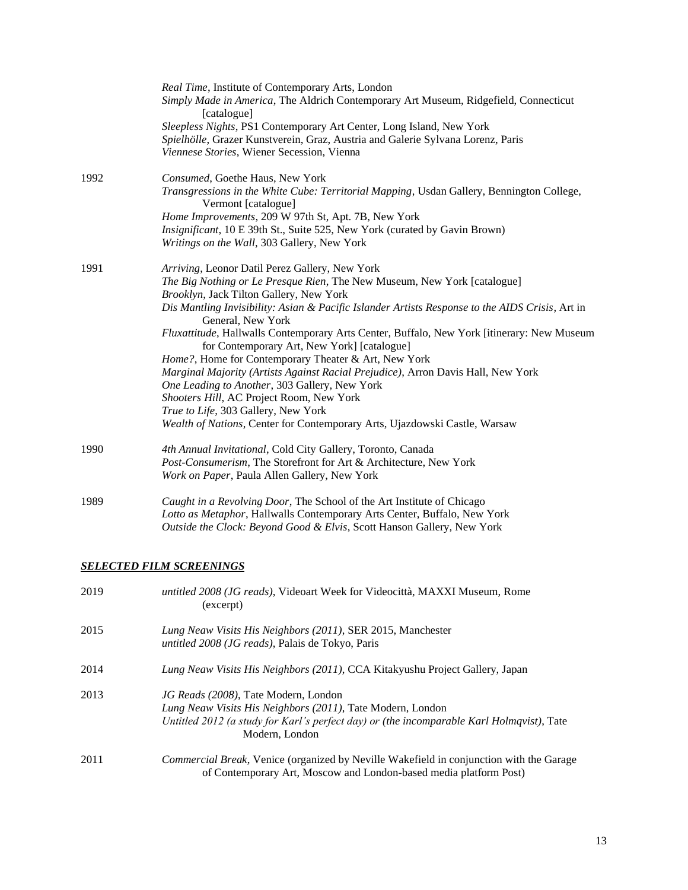|      | Real Time, Institute of Contemporary Arts, London<br>Simply Made in America, The Aldrich Contemporary Art Museum, Ridgefield, Connecticut<br>[catalogue]<br>Sleepless Nights, PS1 Contemporary Art Center, Long Island, New York<br>Spielhölle, Grazer Kunstverein, Graz, Austria and Galerie Sylvana Lorenz, Paris<br>Viennese Stories, Wiener Secession, Vienna                                                                                                                                                                                                                                                                                                                                                                                                                                        |
|------|----------------------------------------------------------------------------------------------------------------------------------------------------------------------------------------------------------------------------------------------------------------------------------------------------------------------------------------------------------------------------------------------------------------------------------------------------------------------------------------------------------------------------------------------------------------------------------------------------------------------------------------------------------------------------------------------------------------------------------------------------------------------------------------------------------|
| 1992 | Consumed, Goethe Haus, New York<br>Transgressions in the White Cube: Territorial Mapping, Usdan Gallery, Bennington College,<br>Vermont [catalogue]<br>Home Improvements, 209 W 97th St, Apt. 7B, New York<br>Insignificant, 10 E 39th St., Suite 525, New York (curated by Gavin Brown)<br>Writings on the Wall, 303 Gallery, New York                                                                                                                                                                                                                                                                                                                                                                                                                                                                  |
| 1991 | Arriving, Leonor Datil Perez Gallery, New York<br>The Big Nothing or Le Presque Rien, The New Museum, New York [catalogue]<br>Brooklyn, Jack Tilton Gallery, New York<br>Dis Mantling Invisibility: Asian & Pacific Islander Artists Response to the AIDS Crisis, Art in<br>General, New York<br>Fluxattitude, Hallwalls Contemporary Arts Center, Buffalo, New York [itinerary: New Museum<br>for Contemporary Art, New York] [catalogue]<br>Home?, Home for Contemporary Theater & Art, New York<br>Marginal Majority (Artists Against Racial Prejudice), Arron Davis Hall, New York<br>One Leading to Another, 303 Gallery, New York<br>Shooters Hill, AC Project Room, New York<br>True to Life, 303 Gallery, New York<br>Wealth of Nations, Center for Contemporary Arts, Ujazdowski Castle, Warsaw |
| 1990 | 4th Annual Invitational, Cold City Gallery, Toronto, Canada<br>Post-Consumerism, The Storefront for Art & Architecture, New York<br>Work on Paper, Paula Allen Gallery, New York                                                                                                                                                                                                                                                                                                                                                                                                                                                                                                                                                                                                                         |
| 1989 | Caught in a Revolving Door, The School of the Art Institute of Chicago<br>Lotto as Metaphor, Hallwalls Contemporary Arts Center, Buffalo, New York<br>Outside the Clock: Beyond Good & Elvis, Scott Hanson Gallery, New York                                                                                                                                                                                                                                                                                                                                                                                                                                                                                                                                                                             |

# *SELECTED FILM SCREENINGS*

| 2019 | untitled 2008 (JG reads), Videoart Week for Videocittà, MAXXI Museum, Rome<br>(excerpt)                                                                                                                           |
|------|-------------------------------------------------------------------------------------------------------------------------------------------------------------------------------------------------------------------|
| 2015 | Lung Neaw Visits His Neighbors (2011), SER 2015, Manchester<br>untitled 2008 (JG reads), Palais de Tokyo, Paris                                                                                                   |
| 2014 | Lung Neaw Visits His Neighbors (2011), CCA Kitakyushu Project Gallery, Japan                                                                                                                                      |
| 2013 | JG Reads (2008), Tate Modern, London<br>Lung Neaw Visits His Neighbors (2011), Tate Modern, London<br>Untitled 2012 (a study for Karl's perfect day) or (the incomparable Karl Holmqvist), Tate<br>Modern, London |
| 2011 | <i>Commercial Break, Venice (organized by Neville Wakefield in conjunction with the Garage</i><br>of Contemporary Art, Moscow and London-based media platform Post)                                               |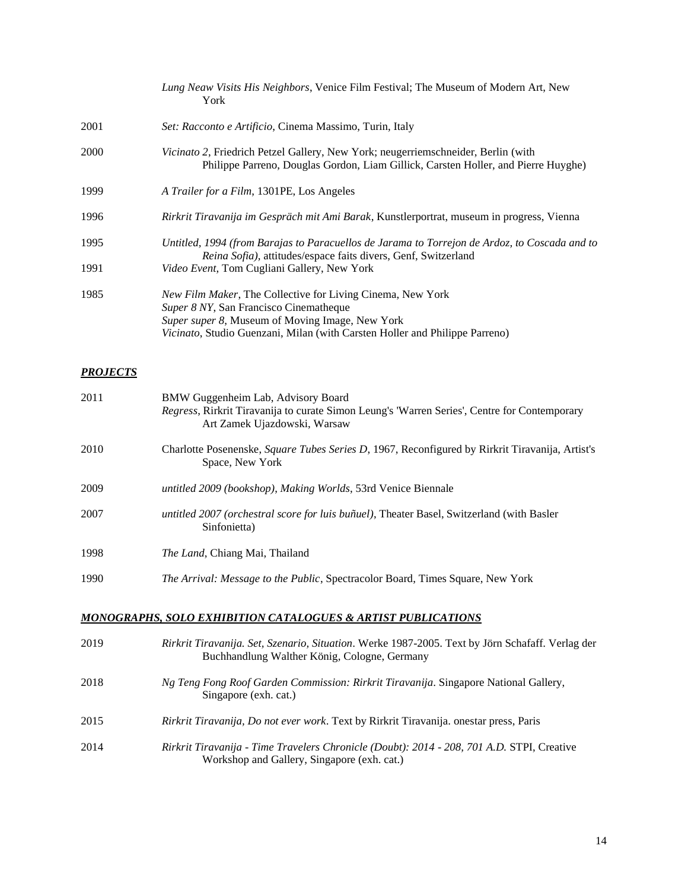|      | Lung Neaw Visits His Neighbors, Venice Film Festival; The Museum of Modern Art, New<br>York                                                                                                                                                                   |
|------|---------------------------------------------------------------------------------------------------------------------------------------------------------------------------------------------------------------------------------------------------------------|
| 2001 | Set: Racconto e Artificio, Cinema Massimo, Turin, Italy                                                                                                                                                                                                       |
| 2000 | <i>Vicinato 2</i> , Friedrich Petzel Gallery, New York; neugerriemschneider, Berlin (with<br>Philippe Parreno, Douglas Gordon, Liam Gillick, Carsten Holler, and Pierre Huyghe)                                                                               |
| 1999 | A Trailer for a Film, 1301PE, Los Angeles                                                                                                                                                                                                                     |
| 1996 | Rirkrit Tiravanija im Gespräch mit Ami Barak, Kunstlerportrat, museum in progress, Vienna                                                                                                                                                                     |
| 1995 | Untitled, 1994 (from Barajas to Paracuellos de Jarama to Torrejon de Ardoz, to Coscada and to<br><i>Reina Sofia</i> ), attitudes/espace faits divers, Genf, Switzerland                                                                                       |
| 1991 | <i>Video Event</i> , Tom Cugliani Gallery, New York                                                                                                                                                                                                           |
| 1985 | <i>New Film Maker</i> , The Collective for Living Cinema, New York<br>Super 8 NY, San Francisco Cinematheque<br><i>Super super 8, Museum of Moving Image, New York</i><br><i>Vicinato</i> , Studio Guenzani, Milan (with Carsten Holler and Philippe Parreno) |

## *PROJECTS*

| 2011 | BMW Guggenheim Lab, Advisory Board<br><i>Regress</i> , Rirkrit Tiravanija to curate Simon Leung's 'Warren Series', Centre for Contemporary<br>Art Zamek Ujazdowski, Warsaw |
|------|----------------------------------------------------------------------------------------------------------------------------------------------------------------------------|
| 2010 | Charlotte Posenenske, <i>Square Tubes Series D</i> , 1967, Reconfigured by Rirkrit Tiravanija, Artist's<br>Space, New York                                                 |
| 2009 | untitled 2009 (bookshop), Making Worlds, 53rd Venice Biennale                                                                                                              |
| 2007 | untitled 2007 (orchestral score for luis buñuel), Theater Basel, Switzerland (with Basler<br>Sinfonietta)                                                                  |
| 1998 | <i>The Land</i> , Chiang Mai, Thailand                                                                                                                                     |
| 1990 | <i>The Arrival: Message to the Public, Spectracolor Board, Times Square, New York</i>                                                                                      |
|      | MONOGRAPHS, SOLO EXHIBITION CATALOGUES & ARTIST PUBLICATIONS                                                                                                               |
| 2019 | Rirkrit Tiravanija. Set, Szenario, Situation. Werke 1987-2005. Text by Jörn Schafaff. Verlag der<br>Buchhandlung Walther König, Cologne, Germany                           |

| 2018 | Ng Teng Fong Roof Garden Commission: Rirkrit Tiravanija. Singapore National Gallery,<br>Singapore (exh. cat.) |
|------|---------------------------------------------------------------------------------------------------------------|
| 2015 | <i>Rirkrit Tiravanija, Do not ever work.</i> Text by Rirkrit Tiravanija. onestar press, Paris                 |

2014 *Rirkrit Tiravanija - Time Travelers Chronicle (Doubt): 2014 - 208, 701 A.D.* STPI, Creative Workshop and Gallery, Singapore (exh. cat.)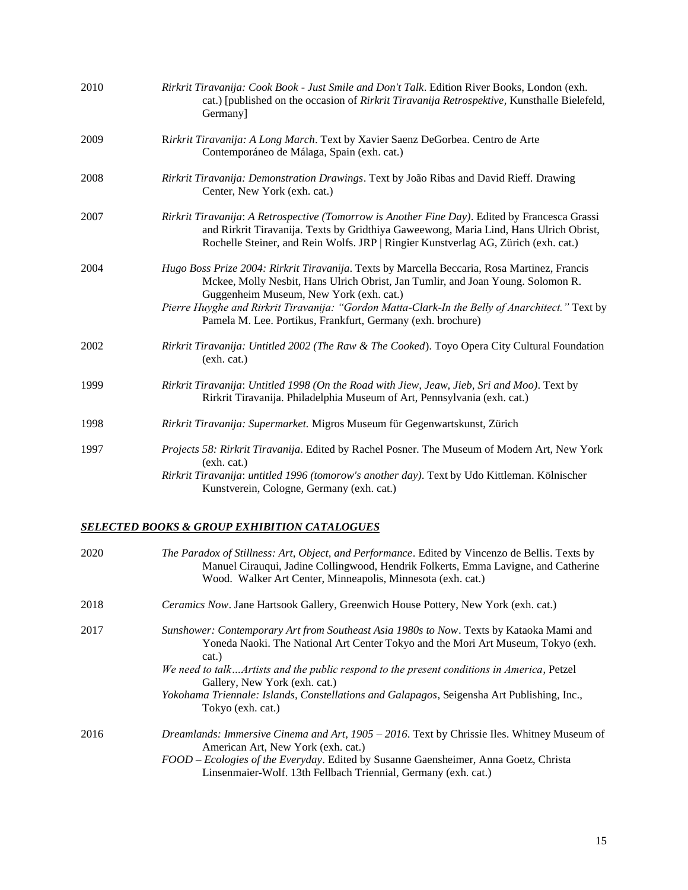| 2010 | Rirkrit Tiravanija: Cook Book - Just Smile and Don't Talk. Edition River Books, London (exh.<br>cat.) [published on the occasion of Rirkrit Tiravanija Retrospektive, Kunsthalle Bielefeld,<br>Germany]                                                                                                                                                                                      |
|------|----------------------------------------------------------------------------------------------------------------------------------------------------------------------------------------------------------------------------------------------------------------------------------------------------------------------------------------------------------------------------------------------|
| 2009 | Rirkrit Tiravanija: A Long March. Text by Xavier Saenz DeGorbea. Centro de Arte<br>Contemporáneo de Málaga, Spain (exh. cat.)                                                                                                                                                                                                                                                                |
| 2008 | Rirkrit Tiravanija: Demonstration Drawings. Text by João Ribas and David Rieff. Drawing<br>Center, New York (exh. cat.)                                                                                                                                                                                                                                                                      |
| 2007 | Rirkrit Tiravanija: A Retrospective (Tomorrow is Another Fine Day). Edited by Francesca Grassi<br>and Rirkrit Tiravanija. Texts by Gridthiya Gaweewong, Maria Lind, Hans Ulrich Obrist,<br>Rochelle Steiner, and Rein Wolfs. JRP   Ringier Kunstverlag AG, Zürich (exh. cat.)                                                                                                                |
| 2004 | Hugo Boss Prize 2004: Rirkrit Tiravanija. Texts by Marcella Beccaria, Rosa Martinez, Francis<br>Mckee, Molly Nesbit, Hans Ulrich Obrist, Jan Tumlir, and Joan Young. Solomon R.<br>Guggenheim Museum, New York (exh. cat.)<br>Pierre Huyghe and Rirkrit Tiravanija: "Gordon Matta-Clark-In the Belly of Anarchitect." Text by<br>Pamela M. Lee. Portikus, Frankfurt, Germany (exh. brochure) |
| 2002 | Rirkrit Tiravanija: Untitled 2002 (The Raw & The Cooked). Toyo Opera City Cultural Foundation<br>(exh. cat.)                                                                                                                                                                                                                                                                                 |
| 1999 | Rirkrit Tiravanija: Untitled 1998 (On the Road with Jiew, Jeaw, Jieb, Sri and Moo). Text by<br>Rirkrit Tiravanija. Philadelphia Museum of Art, Pennsylvania (exh. cat.)                                                                                                                                                                                                                      |
| 1998 | Rirkrit Tiravanija: Supermarket. Migros Museum für Gegenwartskunst, Zürich                                                                                                                                                                                                                                                                                                                   |
| 1997 | Projects 58: Rirkrit Tiravanija. Edited by Rachel Posner. The Museum of Modern Art, New York<br>(exh. cat.)<br>Rirkrit Tiravanija: untitled 1996 (tomorow's another day). Text by Udo Kittleman. Kölnischer                                                                                                                                                                                  |
|      | Kunstverein, Cologne, Germany (exh. cat.)                                                                                                                                                                                                                                                                                                                                                    |

#### *SELECTED BOOKS & GROUP EXHIBITION CATALOGUES*

| 2020 | The Paradox of Stillness: Art, Object, and Performance. Edited by Vincenzo de Bellis. Texts by<br>Manuel Cirauqui, Jadine Collingwood, Hendrik Folkerts, Emma Lavigne, and Catherine<br>Wood. Walker Art Center, Minneapolis, Minnesota (exh. cat.)                                                                                                                                                                                    |
|------|----------------------------------------------------------------------------------------------------------------------------------------------------------------------------------------------------------------------------------------------------------------------------------------------------------------------------------------------------------------------------------------------------------------------------------------|
| 2018 | <i>Ceramics Now.</i> Jane Hartsook Gallery, Greenwich House Pottery, New York (exh. cat.)                                                                                                                                                                                                                                                                                                                                              |
| 2017 | Sunshower: Contemporary Art from Southeast Asia 1980s to Now. Texts by Kataoka Mami and<br>Yoneda Naoki. The National Art Center Tokyo and the Mori Art Museum, Tokyo (exh.<br>cat.)<br>We need to talkArtists and the public respond to the present conditions in America, Petzel<br>Gallery, New York (exh. cat.)<br>Yokohama Triennale: Islands, Constellations and Galapagos, Seigensha Art Publishing, Inc.,<br>Tokyo (exh. cat.) |
| 2016 | Dreamlands: Immersive Cinema and Art, 1905 - 2016. Text by Chrissie Iles. Whitney Museum of<br>American Art, New York (exh. cat.)<br>FOOD - Ecologies of the Everyday. Edited by Susanne Gaensheimer, Anna Goetz, Christa<br>Linsenmaier-Wolf. 13th Fellbach Triennial, Germany (exh. cat.)                                                                                                                                            |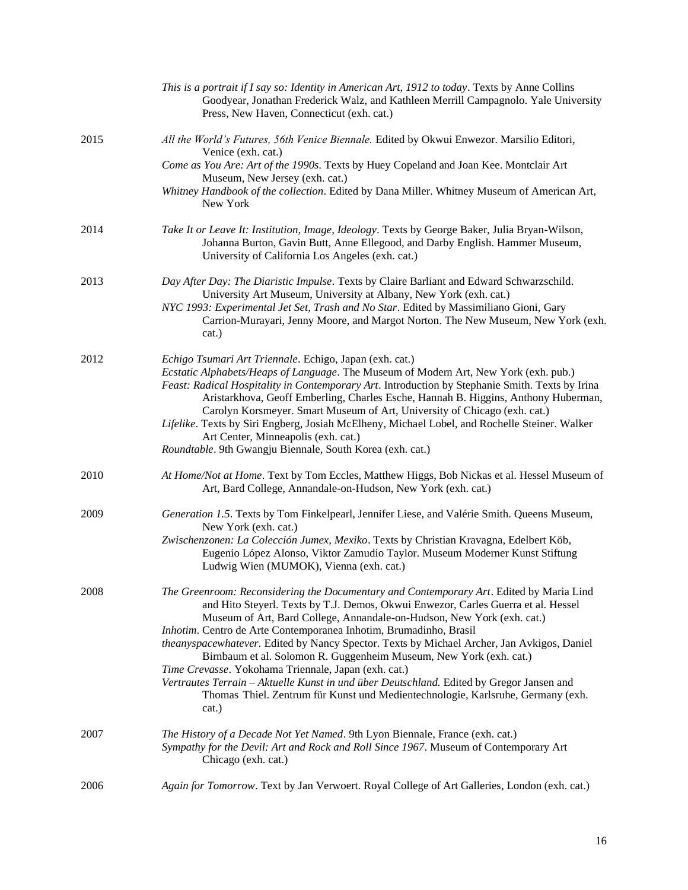|      | This is a portrait if I say so: Identity in American Art, 1912 to today. Texts by Anne Collins<br>Goodyear, Jonathan Frederick Walz, and Kathleen Merrill Campagnolo. Yale University<br>Press, New Haven, Connecticut (exh. cat.)                                                                                                                                                                                    |
|------|-----------------------------------------------------------------------------------------------------------------------------------------------------------------------------------------------------------------------------------------------------------------------------------------------------------------------------------------------------------------------------------------------------------------------|
| 2015 | All the World's Futures, 56th Venice Biennale. Edited by Okwui Enwezor. Marsilio Editori,<br>Venice (exh. cat.)                                                                                                                                                                                                                                                                                                       |
|      | Come as You Are: Art of the 1990s. Texts by Huey Copeland and Joan Kee. Montclair Art<br>Museum, New Jersey (exh. cat.)                                                                                                                                                                                                                                                                                               |
|      | Whitney Handbook of the collection. Edited by Dana Miller. Whitney Museum of American Art,<br>New York                                                                                                                                                                                                                                                                                                                |
| 2014 | Take It or Leave It: Institution, Image, Ideology. Texts by George Baker, Julia Bryan-Wilson,<br>Johanna Burton, Gavin Butt, Anne Ellegood, and Darby English. Hammer Museum,<br>University of California Los Angeles (exh. cat.)                                                                                                                                                                                     |
| 2013 | Day After Day: The Diaristic Impulse. Texts by Claire Barliant and Edward Schwarzschild.<br>University Art Museum, University at Albany, New York (exh. cat.)<br>NYC 1993: Experimental Jet Set, Trash and No Star. Edited by Massimiliano Gioni, Gary                                                                                                                                                                |
|      | Carrion-Murayari, Jenny Moore, and Margot Norton. The New Museum, New York (exh.<br>cat.)                                                                                                                                                                                                                                                                                                                             |
| 2012 | Echigo Tsumari Art Triennale. Echigo, Japan (exh. cat.)<br>Ecstatic Alphabets/Heaps of Language. The Museum of Modern Art, New York (exh. pub.)<br>Feast: Radical Hospitality in Contemporary Art. Introduction by Stephanie Smith. Texts by Irina<br>Aristarkhova, Geoff Emberling, Charles Esche, Hannah B. Higgins, Anthony Huberman,<br>Carolyn Korsmeyer. Smart Museum of Art, University of Chicago (exh. cat.) |
|      | Lifelike. Texts by Siri Engberg, Josiah McElheny, Michael Lobel, and Rochelle Steiner. Walker<br>Art Center, Minneapolis (exh. cat.)<br>Roundtable. 9th Gwangju Biennale, South Korea (exh. cat.)                                                                                                                                                                                                                     |
|      |                                                                                                                                                                                                                                                                                                                                                                                                                       |
| 2010 | At Home/Not at Home. Text by Tom Eccles, Matthew Higgs, Bob Nickas et al. Hessel Museum of<br>Art, Bard College, Annandale-on-Hudson, New York (exh. cat.)                                                                                                                                                                                                                                                            |
| 2009 | Generation 1.5. Texts by Tom Finkelpearl, Jennifer Liese, and Valérie Smith. Queens Museum,<br>New York (exh. cat.)                                                                                                                                                                                                                                                                                                   |
|      | Zwischenzonen: La Colección Jumex, Mexiko. Texts by Christian Kravagna, Edelbert Köb,<br>Eugenio López Alonso, Viktor Zamudio Taylor. Museum Moderner Kunst Stiftung<br>Ludwig Wien (MUMOK), Vienna (exh. cat.)                                                                                                                                                                                                       |
| 2008 | The Greenroom: Reconsidering the Documentary and Contemporary Art. Edited by Maria Lind<br>and Hito Steyerl. Texts by T.J. Demos, Okwui Enwezor, Carles Guerra et al. Hessel<br>Museum of Art, Bard College, Annandale-on-Hudson, New York (exh. cat.)                                                                                                                                                                |
|      | Inhotim. Centro de Arte Contemporanea Inhotim, Brumadinho, Brasil<br>theanyspacewhatever. Edited by Nancy Spector. Texts by Michael Archer, Jan Avkigos, Daniel<br>Birnbaum et al. Solomon R. Guggenheim Museum, New York (exh. cat.)                                                                                                                                                                                 |
|      | Time Crevasse. Yokohama Triennale, Japan (exh. cat.)<br>Vertrautes Terrain - Aktuelle Kunst in und über Deutschland. Edited by Gregor Jansen and<br>Thomas Thiel. Zentrum für Kunst und Medientechnologie, Karlsruhe, Germany (exh.<br>cat.)                                                                                                                                                                          |
| 2007 | The History of a Decade Not Yet Named. 9th Lyon Biennale, France (exh. cat.)<br>Sympathy for the Devil: Art and Rock and Roll Since 1967. Museum of Contemporary Art<br>Chicago (exh. cat.)                                                                                                                                                                                                                           |
| 2006 | Again for Tomorrow. Text by Jan Verwoert. Royal College of Art Galleries, London (exh. cat.)                                                                                                                                                                                                                                                                                                                          |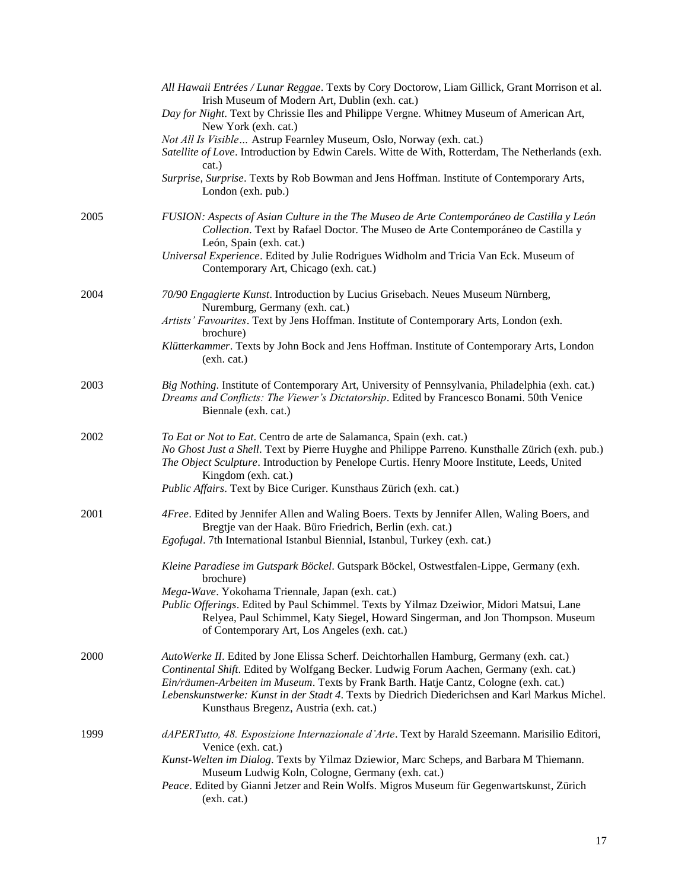|      | All Hawaii Entrées / Lunar Reggae. Texts by Cory Doctorow, Liam Gillick, Grant Morrison et al.<br>Irish Museum of Modern Art, Dublin (exh. cat.)<br>Day for Night. Text by Chrissie Iles and Philippe Vergne. Whitney Museum of American Art,<br>New York (exh. cat.)<br>Not All Is Visible Astrup Fearnley Museum, Oslo, Norway (exh. cat.)<br>Satellite of Love. Introduction by Edwin Carels. Witte de With, Rotterdam, The Netherlands (exh.<br>cat.)<br>Surprise, Surprise. Texts by Rob Bowman and Jens Hoffman. Institute of Contemporary Arts,<br>London (exh. pub.)                                                      |
|------|-----------------------------------------------------------------------------------------------------------------------------------------------------------------------------------------------------------------------------------------------------------------------------------------------------------------------------------------------------------------------------------------------------------------------------------------------------------------------------------------------------------------------------------------------------------------------------------------------------------------------------------|
| 2005 | FUSION: Aspects of Asian Culture in the The Museo de Arte Contemporáneo de Castilla y León<br>Collection. Text by Rafael Doctor. The Museo de Arte Contemporáneo de Castilla y<br>León, Spain (exh. cat.)<br>Universal Experience. Edited by Julie Rodrigues Widholm and Tricia Van Eck. Museum of<br>Contemporary Art, Chicago (exh. cat.)                                                                                                                                                                                                                                                                                       |
| 2004 | 70/90 Engagierte Kunst. Introduction by Lucius Grisebach. Neues Museum Nürnberg,<br>Nuremburg, Germany (exh. cat.)<br>Artists' Favourites. Text by Jens Hoffman. Institute of Contemporary Arts, London (exh.<br>brochure)<br>Klütterkammer. Texts by John Bock and Jens Hoffman. Institute of Contemporary Arts, London<br>(exh. cat.)                                                                                                                                                                                                                                                                                           |
| 2003 | Big Nothing. Institute of Contemporary Art, University of Pennsylvania, Philadelphia (exh. cat.)<br>Dreams and Conflicts: The Viewer's Dictatorship. Edited by Francesco Bonami. 50th Venice<br>Biennale (exh. cat.)                                                                                                                                                                                                                                                                                                                                                                                                              |
| 2002 | To Eat or Not to Eat. Centro de arte de Salamanca, Spain (exh. cat.)<br>No Ghost Just a Shell. Text by Pierre Huyghe and Philippe Parreno. Kunsthalle Zürich (exh. pub.)<br>The Object Sculpture. Introduction by Penelope Curtis. Henry Moore Institute, Leeds, United<br>Kingdom (exh. cat.)<br>Public Affairs. Text by Bice Curiger. Kunsthaus Zürich (exh. cat.)                                                                                                                                                                                                                                                              |
| 2001 | 4Free. Edited by Jennifer Allen and Waling Boers. Texts by Jennifer Allen, Waling Boers, and<br>Bregtje van der Haak. Büro Friedrich, Berlin (exh. cat.)<br>Egofugal. 7th International Istanbul Biennial, Istanbul, Turkey (exh. cat.)<br>Kleine Paradiese im Gutspark Böckel. Gutspark Böckel, Ostwestfalen-Lippe, Germany (exh.<br>brochure)<br>Mega-Wave. Yokohama Triennale, Japan (exh. cat.)<br>Public Offerings. Edited by Paul Schimmel. Texts by Yilmaz Dzeiwior, Midori Matsui, Lane<br>Relyea, Paul Schimmel, Katy Siegel, Howard Singerman, and Jon Thompson. Museum<br>of Contemporary Art, Los Angeles (exh. cat.) |
| 2000 | AutoWerke II. Edited by Jone Elissa Scherf. Deichtorhallen Hamburg, Germany (exh. cat.)<br>Continental Shift. Edited by Wolfgang Becker. Ludwig Forum Aachen, Germany (exh. cat.)<br>Ein/räumen-Arbeiten im Museum. Texts by Frank Barth. Hatje Cantz, Cologne (exh. cat.)<br>Lebenskunstwerke: Kunst in der Stadt 4. Texts by Diedrich Diederichsen and Karl Markus Michel.<br>Kunsthaus Bregenz, Austria (exh. cat.)                                                                                                                                                                                                            |
| 1999 | dAPERTutto, 48. Esposizione Internazionale d'Arte. Text by Harald Szeemann. Marisilio Editori,<br>Venice (exh. cat.)<br>Kunst-Welten im Dialog. Texts by Yilmaz Dziewior, Marc Scheps, and Barbara M Thiemann.<br>Museum Ludwig Koln, Cologne, Germany (exh. cat.)<br>Peace. Edited by Gianni Jetzer and Rein Wolfs. Migros Museum für Gegenwartskunst, Zürich<br>(exh. cat.)                                                                                                                                                                                                                                                     |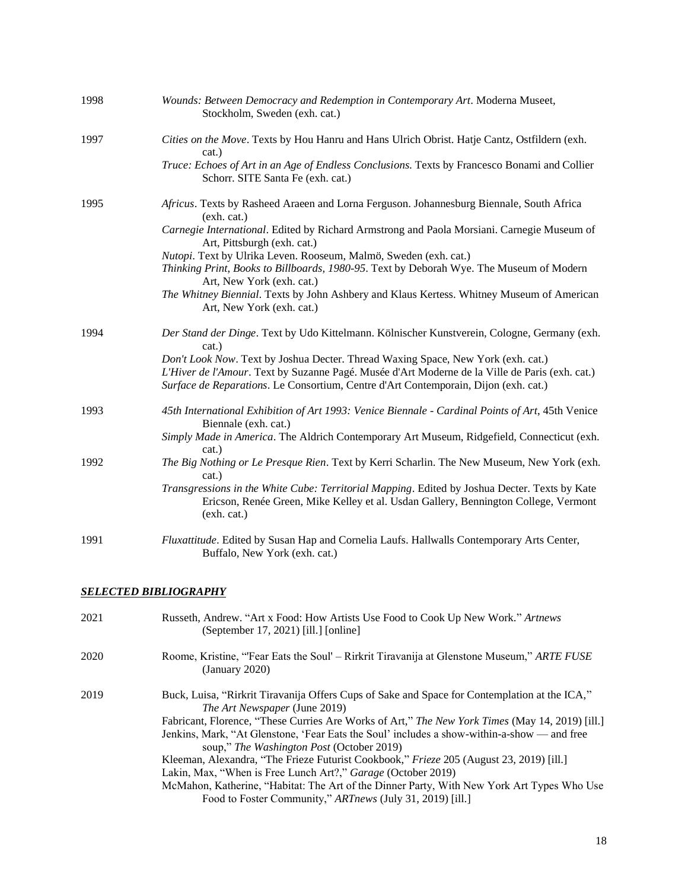| 1998 | Wounds: Between Democracy and Redemption in Contemporary Art. Moderna Museet,<br>Stockholm, Sweden (exh. cat.)                                                                                                                                                            |
|------|---------------------------------------------------------------------------------------------------------------------------------------------------------------------------------------------------------------------------------------------------------------------------|
| 1997 | Cities on the Move. Texts by Hou Hanru and Hans Ulrich Obrist. Hatje Cantz, Ostfildern (exh.<br>cat.)                                                                                                                                                                     |
|      | Truce: Echoes of Art in an Age of Endless Conclusions. Texts by Francesco Bonami and Collier<br>Schorr. SITE Santa Fe (exh. cat.)                                                                                                                                         |
| 1995 | Africus. Texts by Rasheed Araeen and Lorna Ferguson. Johannesburg Biennale, South Africa<br>(exh. cat.)                                                                                                                                                                   |
|      | Carnegie International. Edited by Richard Armstrong and Paola Morsiani. Carnegie Museum of<br>Art, Pittsburgh (exh. cat.)                                                                                                                                                 |
|      | Nutopi. Text by Ulrika Leven. Rooseum, Malmö, Sweden (exh. cat.)<br>Thinking Print, Books to Billboards, 1980-95. Text by Deborah Wye. The Museum of Modern<br>Art, New York (exh. cat.)                                                                                  |
|      | The Whitney Biennial. Texts by John Ashbery and Klaus Kertess. Whitney Museum of American<br>Art, New York (exh. cat.)                                                                                                                                                    |
| 1994 | Der Stand der Dinge. Text by Udo Kittelmann. Kölnischer Kunstverein, Cologne, Germany (exh.<br>cat.)                                                                                                                                                                      |
|      | Don't Look Now. Text by Joshua Decter. Thread Waxing Space, New York (exh. cat.)<br>L'Hiver de l'Amour. Text by Suzanne Pagé. Musée d'Art Moderne de la Ville de Paris (exh. cat.)<br>Surface de Reparations. Le Consortium, Centre d'Art Contemporain, Dijon (exh. cat.) |
| 1993 | 45th International Exhibition of Art 1993: Venice Biennale - Cardinal Points of Art, 45th Venice<br>Biennale (exh. cat.)                                                                                                                                                  |
|      | Simply Made in America. The Aldrich Contemporary Art Museum, Ridgefield, Connecticut (exh.<br>cat.)                                                                                                                                                                       |
| 1992 | The Big Nothing or Le Presque Rien. Text by Kerri Scharlin. The New Museum, New York (exh.<br>cat.)                                                                                                                                                                       |
|      | Transgressions in the White Cube: Territorial Mapping. Edited by Joshua Decter. Texts by Kate<br>Ericson, Renée Green, Mike Kelley et al. Usdan Gallery, Bennington College, Vermont<br>(exh. cat.)                                                                       |
| 1991 | Fluxattitude. Edited by Susan Hap and Cornelia Laufs. Hallwalls Contemporary Arts Center,<br>Buffalo, New York (exh. cat.)                                                                                                                                                |

#### *SELECTED BIBLIOGRAPHY*

| 2021 | Russeth, Andrew. "Art x Food: How Artists Use Food to Cook Up New Work." Artnews<br>(September 17, 2021) [ill.] [online]                                                                                                                                                                                                                                                                                                                                                                                                                                                                                                                                                                                          |
|------|-------------------------------------------------------------------------------------------------------------------------------------------------------------------------------------------------------------------------------------------------------------------------------------------------------------------------------------------------------------------------------------------------------------------------------------------------------------------------------------------------------------------------------------------------------------------------------------------------------------------------------------------------------------------------------------------------------------------|
| 2020 | Roome, Kristine, "Fear Eats the Soul' – Rirkrit Tiravanija at Glenstone Museum," ARTE FUSE<br>(January 2020)                                                                                                                                                                                                                                                                                                                                                                                                                                                                                                                                                                                                      |
| 2019 | Buck, Luisa, "Rirkrit Tiravanija Offers Cups of Sake and Space for Contemplation at the ICA,"<br><i>The Art Newspaper</i> (June 2019)<br>Fabricant, Florence, "These Curries Are Works of Art," The New York Times (May 14, 2019) [ill.]<br>Jenkins, Mark, "At Glenstone, 'Fear Eats the Soul' includes a show-within-a-show — and free<br>soup," The Washington Post (October 2019)<br>Kleeman, Alexandra, "The Frieze Futurist Cookbook," <i>Frieze</i> 205 (August 23, 2019) [ill.]<br>Lakin, Max, "When is Free Lunch Art?," Garage (October 2019)<br>McMahon, Katherine, "Habitat: The Art of the Dinner Party, With New York Art Types Who Use<br>Food to Foster Community," ARTnews (July 31, 2019) [ill.] |
|      |                                                                                                                                                                                                                                                                                                                                                                                                                                                                                                                                                                                                                                                                                                                   |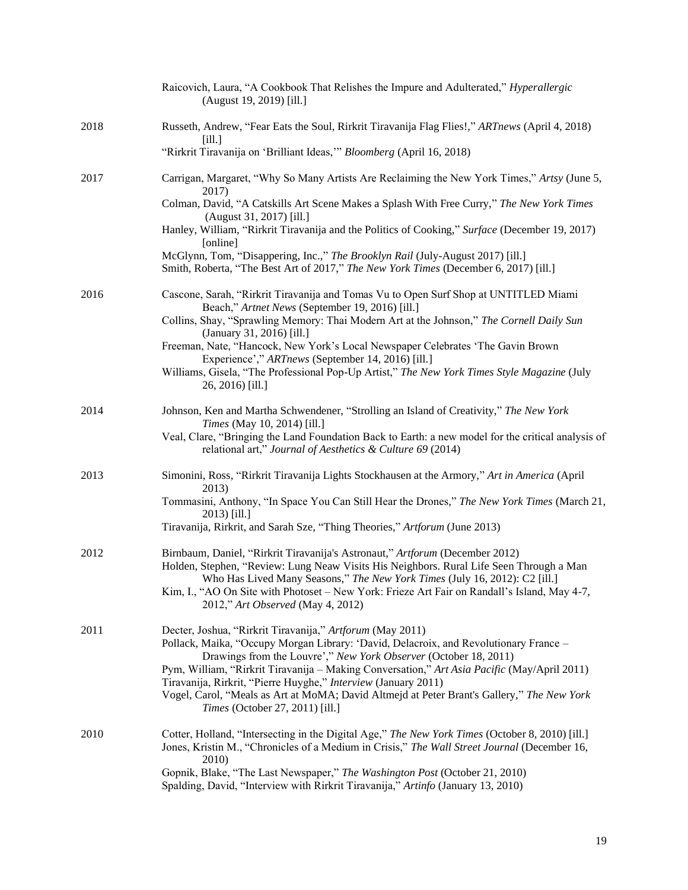|      | Raicovich, Laura, "A Cookbook That Relishes the Impure and Adulterated," Hyperallergic<br>(August 19, 2019) [ill.]                                                                                                                                                                                                                                                                         |
|------|--------------------------------------------------------------------------------------------------------------------------------------------------------------------------------------------------------------------------------------------------------------------------------------------------------------------------------------------------------------------------------------------|
| 2018 | Russeth, Andrew, "Fear Eats the Soul, Rirkrit Tiravanija Flag Flies!," ARTnews (April 4, 2018)<br>[i]                                                                                                                                                                                                                                                                                      |
|      | "Rirkrit Tiravanija on 'Brilliant Ideas,"" Bloomberg (April 16, 2018)                                                                                                                                                                                                                                                                                                                      |
| 2017 | Carrigan, Margaret, "Why So Many Artists Are Reclaiming the New York Times," Artsy (June 5,<br>2017)                                                                                                                                                                                                                                                                                       |
|      | Colman, David, "A Catskills Art Scene Makes a Splash With Free Curry," The New York Times<br>(August 31, 2017) [ill.]                                                                                                                                                                                                                                                                      |
|      | Hanley, William, "Rirkrit Tiravanija and the Politics of Cooking," Surface (December 19, 2017)<br>[online]                                                                                                                                                                                                                                                                                 |
|      | McGlynn, Tom, "Disappering, Inc.," The Brooklyn Rail (July-August 2017) [ill.]<br>Smith, Roberta, "The Best Art of 2017," The New York Times (December 6, 2017) [ill.]                                                                                                                                                                                                                     |
| 2016 | Cascone, Sarah, "Rirkrit Tiravanija and Tomas Vu to Open Surf Shop at UNTITLED Miami<br>Beach," Artnet News (September 19, 2016) [ill.]                                                                                                                                                                                                                                                    |
|      | Collins, Shay, "Sprawling Memory: Thai Modern Art at the Johnson," The Cornell Daily Sun<br>(January 31, 2016) [ill.]                                                                                                                                                                                                                                                                      |
|      | Freeman, Nate, "Hancock, New York's Local Newspaper Celebrates 'The Gavin Brown<br>Experience'," ARTnews (September 14, 2016) [ill.]                                                                                                                                                                                                                                                       |
|      | Williams, Gisela, "The Professional Pop-Up Artist," The New York Times Style Magazine (July<br>26, 2016) [ill.]                                                                                                                                                                                                                                                                            |
| 2014 | Johnson, Ken and Martha Schwendener, "Strolling an Island of Creativity," The New York<br><i>Times</i> (May 10, 2014) [ill.]                                                                                                                                                                                                                                                               |
|      | Veal, Clare, "Bringing the Land Foundation Back to Earth: a new model for the critical analysis of<br>relational art," Journal of Aesthetics & Culture 69 (2014)                                                                                                                                                                                                                           |
| 2013 | Simonini, Ross, "Rirkrit Tiravanija Lights Stockhausen at the Armory," Art in America (April<br>2013)                                                                                                                                                                                                                                                                                      |
|      | Tommasini, Anthony, "In Space You Can Still Hear the Drones," The New York Times (March 21,<br>2013) [ill.]                                                                                                                                                                                                                                                                                |
|      | Tiravanija, Rirkrit, and Sarah Sze, "Thing Theories," Artforum (June 2013)                                                                                                                                                                                                                                                                                                                 |
| 2012 | Birnbaum, Daniel, "Rirkrit Tiravanija's Astronaut," Artforum (December 2012)<br>Holden, Stephen, "Review: Lung Neaw Visits His Neighbors. Rural Life Seen Through a Man<br>Who Has Lived Many Seasons," The New York Times (July 16, 2012): C2 [ill.]<br>Kim, I., "AO On Site with Photoset – New York: Frieze Art Fair on Randall's Island, May 4-7,<br>2012," Art Observed (May 4, 2012) |
| 2011 | Decter, Joshua, "Rirkrit Tiravanija," Artforum (May 2011)                                                                                                                                                                                                                                                                                                                                  |
|      | Pollack, Maika, "Occupy Morgan Library: 'David, Delacroix, and Revolutionary France -<br>Drawings from the Louvre'," New York Observer (October 18, 2011)<br>Pym, William, "Rirkrit Tiravanija - Making Conversation," Art Asia Pacific (May/April 2011)                                                                                                                                   |
|      | Tiravanija, Rirkrit, "Pierre Huyghe," Interview (January 2011)                                                                                                                                                                                                                                                                                                                             |
|      | Vogel, Carol, "Meals as Art at MoMA; David Altmejd at Peter Brant's Gallery," The New York<br>Times (October 27, 2011) [ill.]                                                                                                                                                                                                                                                              |
| 2010 | Cotter, Holland, "Intersecting in the Digital Age," The New York Times (October 8, 2010) [ill.]<br>Jones, Kristin M., "Chronicles of a Medium in Crisis," The Wall Street Journal (December 16,<br>2010)                                                                                                                                                                                   |
|      | Gopnik, Blake, "The Last Newspaper," The Washington Post (October 21, 2010)<br>Spalding, David, "Interview with Rirkrit Tiravanija," Artinfo (January 13, 2010)                                                                                                                                                                                                                            |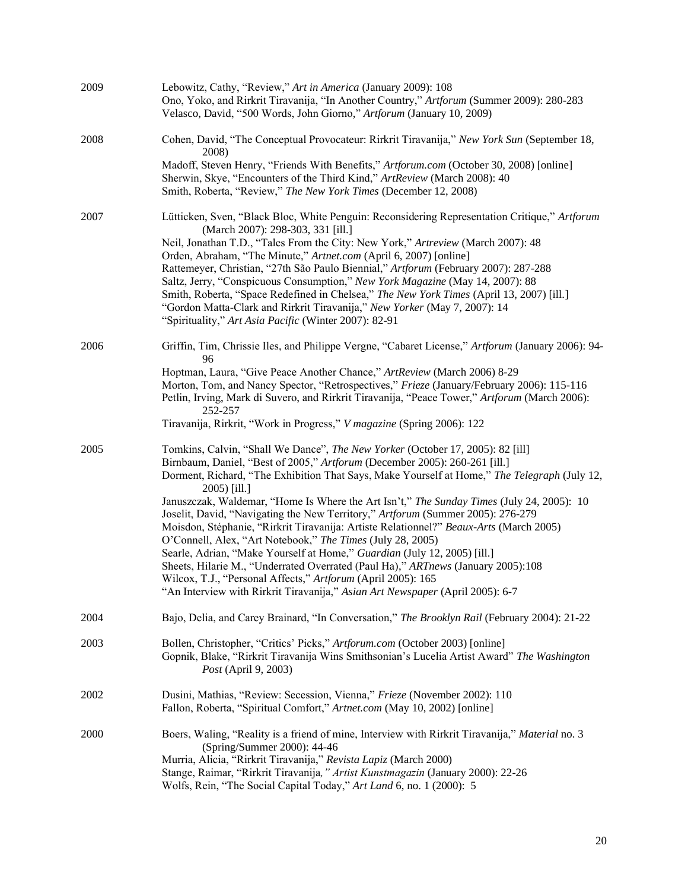| 2009 | Lebowitz, Cathy, "Review," Art in America (January 2009): 108<br>Ono, Yoko, and Rirkrit Tiravanija, "In Another Country," Artforum (Summer 2009): 280-283<br>Velasco, David, "500 Words, John Giorno," Artforum (January 10, 2009)                                                                                                                                                                                                                                                                                                                                                                                                                                                                                                                                                                                                                                                                                                    |
|------|---------------------------------------------------------------------------------------------------------------------------------------------------------------------------------------------------------------------------------------------------------------------------------------------------------------------------------------------------------------------------------------------------------------------------------------------------------------------------------------------------------------------------------------------------------------------------------------------------------------------------------------------------------------------------------------------------------------------------------------------------------------------------------------------------------------------------------------------------------------------------------------------------------------------------------------|
| 2008 | Cohen, David, "The Conceptual Provocateur: Rirkrit Tiravanija," New York Sun (September 18,<br>2008)                                                                                                                                                                                                                                                                                                                                                                                                                                                                                                                                                                                                                                                                                                                                                                                                                                  |
|      | Madoff, Steven Henry, "Friends With Benefits," Artforum.com (October 30, 2008) [online]<br>Sherwin, Skye, "Encounters of the Third Kind," ArtReview (March 2008): 40<br>Smith, Roberta, "Review," The New York Times (December 12, 2008)                                                                                                                                                                                                                                                                                                                                                                                                                                                                                                                                                                                                                                                                                              |
| 2007 | Lütticken, Sven, "Black Bloc, White Penguin: Reconsidering Representation Critique," Artforum<br>(March 2007): 298-303, 331 [ill.]<br>Neil, Jonathan T.D., "Tales From the City: New York," Artreview (March 2007): 48<br>Orden, Abraham, "The Minute," Artnet.com (April 6, 2007) [online]<br>Rattemeyer, Christian, "27th São Paulo Biennial," Artforum (February 2007): 287-288<br>Saltz, Jerry, "Conspicuous Consumption," New York Magazine (May 14, 2007): 88<br>Smith, Roberta, "Space Redefined in Chelsea," The New York Times (April 13, 2007) [ill.]<br>"Gordon Matta-Clark and Rirkrit Tiravanija," New Yorker (May 7, 2007): 14<br>"Spirituality," Art Asia Pacific (Winter 2007): 82-91                                                                                                                                                                                                                                 |
| 2006 | Griffin, Tim, Chrissie Iles, and Philippe Vergne, "Cabaret License," Artforum (January 2006): 94-<br>96<br>Hoptman, Laura, "Give Peace Another Chance," ArtReview (March 2006) 8-29<br>Morton, Tom, and Nancy Spector, "Retrospectives," Frieze (January/February 2006): 115-116<br>Petlin, Irving, Mark di Suvero, and Rirkrit Tiravanija, "Peace Tower," Artforum (March 2006):<br>252-257<br>Tiravanija, Rirkrit, "Work in Progress," V magazine (Spring 2006): 122                                                                                                                                                                                                                                                                                                                                                                                                                                                                |
| 2005 | Tomkins, Calvin, "Shall We Dance", The New Yorker (October 17, 2005): 82 [ill]<br>Birnbaum, Daniel, "Best of 2005," Artforum (December 2005): 260-261 [ill.]<br>Dorment, Richard, "The Exhibition That Says, Make Yourself at Home," The Telegraph (July 12,<br>2005) [ill.]<br>Januszczak, Waldemar, "Home Is Where the Art Isn't," The Sunday Times (July 24, 2005): 10<br>Joselit, David, "Navigating the New Territory," Artforum (Summer 2005): 276-279<br>Moisdon, Stéphanie, "Rirkrit Tiravanija: Artiste Relationnel?" Beaux-Arts (March 2005)<br>O'Connell, Alex, "Art Notebook," The Times (July 28, 2005)<br>Searle, Adrian, "Make Yourself at Home," Guardian (July 12, 2005) [ill.]<br>Sheets, Hilarie M., "Underrated Overrated (Paul Ha)," ARTnews (January 2005):108<br>Wilcox, T.J., "Personal Affects," Artforum (April 2005): 165<br>"An Interview with Rirkrit Tiravanija," Asian Art Newspaper (April 2005): 6-7 |
| 2004 | Bajo, Delia, and Carey Brainard, "In Conversation," The Brooklyn Rail (February 2004): 21-22                                                                                                                                                                                                                                                                                                                                                                                                                                                                                                                                                                                                                                                                                                                                                                                                                                          |
| 2003 | Bollen, Christopher, "Critics' Picks," Artforum.com (October 2003) [online]<br>Gopnik, Blake, "Rirkrit Tiravanija Wins Smithsonian's Lucelia Artist Award" The Washington<br>Post (April 9, 2003)                                                                                                                                                                                                                                                                                                                                                                                                                                                                                                                                                                                                                                                                                                                                     |
| 2002 | Dusini, Mathias, "Review: Secession, Vienna," Frieze (November 2002): 110<br>Fallon, Roberta, "Spiritual Comfort," Artnet.com (May 10, 2002) [online]                                                                                                                                                                                                                                                                                                                                                                                                                                                                                                                                                                                                                                                                                                                                                                                 |
| 2000 | Boers, Waling, "Reality is a friend of mine, Interview with Rirkrit Tiravanija," Material no. 3<br>(Spring/Summer 2000): 44-46<br>Murria, Alicia, "Rirkrit Tiravanija," Revista Lapiz (March 2000)<br>Stange, Raimar, "Rirkrit Tiravanija, " Artist Kunstmagazin (January 2000): 22-26<br>Wolfs, Rein, "The Social Capital Today," Art Land 6, no. 1 (2000): 5                                                                                                                                                                                                                                                                                                                                                                                                                                                                                                                                                                        |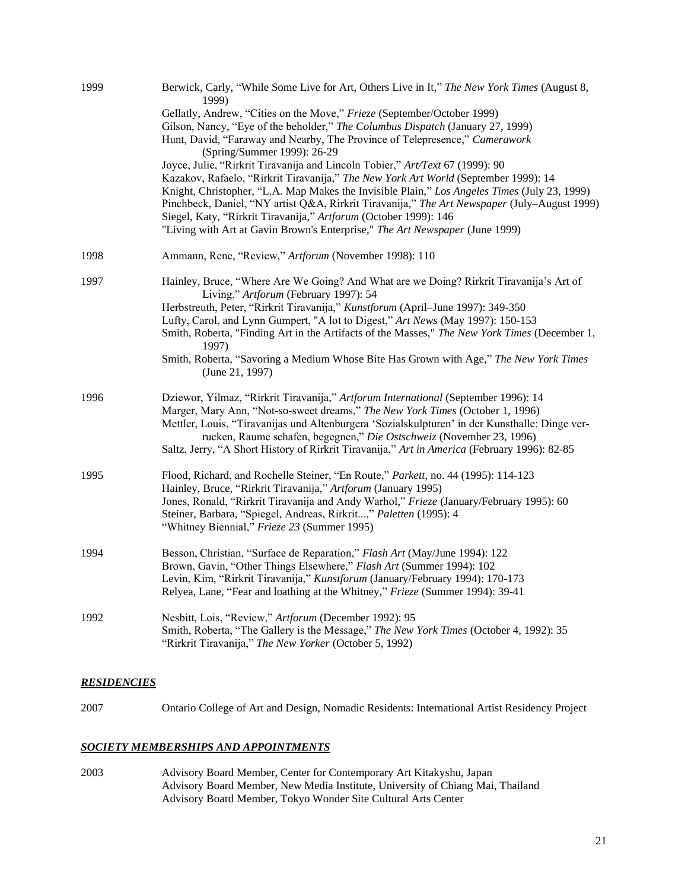| 1999 | Berwick, Carly, "While Some Live for Art, Others Live in It," The New York Times (August 8,<br>1999)                                                                                                                                                                                                                                                                                                                                                                                                                                                                                                                                                                                                                                                                                                |
|------|-----------------------------------------------------------------------------------------------------------------------------------------------------------------------------------------------------------------------------------------------------------------------------------------------------------------------------------------------------------------------------------------------------------------------------------------------------------------------------------------------------------------------------------------------------------------------------------------------------------------------------------------------------------------------------------------------------------------------------------------------------------------------------------------------------|
|      | Gellatly, Andrew, "Cities on the Move," Frieze (September/October 1999)<br>Gilson, Nancy, "Eye of the beholder," The Columbus Dispatch (January 27, 1999)<br>Hunt, David, "Faraway and Nearby, The Province of Telepresence," Camerawork<br>(Spring/Summer 1999): 26-29<br>Joyce, Julie, "Rirkrit Tiravanija and Lincoln Tobier," Art/Text 67 (1999): 90<br>Kazakov, Rafaelo, "Rirkrit Tiravanija," The New York Art World (September 1999): 14<br>Knight, Christopher, "L.A. Map Makes the Invisible Plain," Los Angeles Times (July 23, 1999)<br>Pinchbeck, Daniel, "NY artist Q&A, Rirkrit Tiravanija," The Art Newspaper (July-August 1999)<br>Siegel, Katy, "Rirkrit Tiravanija," Artforum (October 1999): 146<br>"Living with Art at Gavin Brown's Enterprise," The Art Newspaper (June 1999) |
| 1998 | Ammann, Rene, "Review," Artforum (November 1998): 110                                                                                                                                                                                                                                                                                                                                                                                                                                                                                                                                                                                                                                                                                                                                               |
| 1997 | Hainley, Bruce, "Where Are We Going? And What are we Doing? Rirkrit Tiravanija's Art of<br>Living," Artforum (February 1997): 54<br>Herbstreuth, Peter, "Rirkrit Tiravanija," Kunstforum (April-June 1997): 349-350<br>Lufty, Carol, and Lynn Gumpert, "A lot to Digest," Art News (May 1997): 150-153<br>Smith, Roberta, "Finding Art in the Artifacts of the Masses," The New York Times (December 1,<br>1997)<br>Smith, Roberta, "Savoring a Medium Whose Bite Has Grown with Age," The New York Times<br>(June 21, 1997)                                                                                                                                                                                                                                                                        |
| 1996 | Dziewor, Yilmaz, "Rirkrit Tiravanija," Artforum International (September 1996): 14<br>Marger, Mary Ann, "Not-so-sweet dreams," The New York Times (October 1, 1996)<br>Mettler, Louis, "Tiravanijas und Altenburgera 'Sozialskulpturen' in der Kunsthalle: Dinge ver-<br>rucken, Raume schafen, begegnen," Die Ostschweiz (November 23, 1996)<br>Saltz, Jerry, "A Short History of Rirkrit Tiravanija," Art in America (February 1996): 82-85                                                                                                                                                                                                                                                                                                                                                       |
| 1995 | Flood, Richard, and Rochelle Steiner, "En Route," Parkett, no. 44 (1995): 114-123<br>Hainley, Bruce, "Rirkrit Tiravanija," Artforum (January 1995)<br>Jones, Ronald, "Rirkrit Tiravanija and Andy Warhol," Frieze (January/February 1995): 60<br>Steiner, Barbara, "Spiegel, Andreas, Rirkrit," Paletten (1995): 4<br>"Whitney Biennial," Frieze 23 (Summer 1995)                                                                                                                                                                                                                                                                                                                                                                                                                                   |
| 1994 | Besson, Christian, "Surface de Reparation," Flash Art (May/June 1994): 122<br>Brown, Gavin, "Other Things Elsewhere," Flash Art (Summer 1994): 102<br>Levin, Kim, "Rirkrit Tiravanija," Kunstforum (January/February 1994): 170-173<br>Relyea, Lane, "Fear and loathing at the Whitney," Frieze (Summer 1994): 39-41                                                                                                                                                                                                                                                                                                                                                                                                                                                                                |
| 1992 | Nesbitt, Lois, "Review," Artforum (December 1992): 95<br>Smith, Roberta, "The Gallery is the Message," The New York Times (October 4, 1992): 35<br>"Rirkrit Tiravanija," The New Yorker (October 5, 1992)                                                                                                                                                                                                                                                                                                                                                                                                                                                                                                                                                                                           |

#### *RESIDENCIES*

2007 Ontario College of Art and Design, Nomadic Residents: International Artist Residency Project

#### *SOCIETY MEMBERSHIPS AND APPOINTMENTS*

2003 Advisory Board Member, Center for Contemporary Art Kitakyshu, Japan Advisory Board Member, New Media Institute, University of Chiang Mai, Thailand Advisory Board Member, Tokyo Wonder Site Cultural Arts Center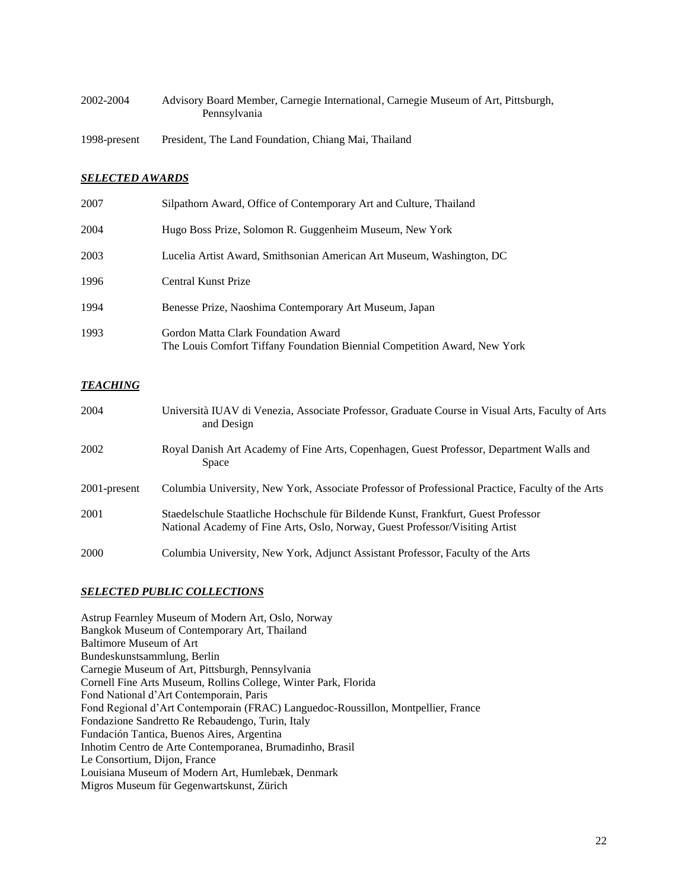| 2002-2004    | Advisory Board Member, Carnegie International, Carnegie Museum of Art, Pittsburgh,<br>Pennsylvania |  |
|--------------|----------------------------------------------------------------------------------------------------|--|
| 1998-present | President, The Land Foundation, Chiang Mai, Thailand                                               |  |

# *SELECTED AWARDS*

| 2007 | Silpathorn Award, Office of Contemporary Art and Culture, Thailand                                               |
|------|------------------------------------------------------------------------------------------------------------------|
| 2004 | Hugo Boss Prize, Solomon R. Guggenheim Museum, New York                                                          |
| 2003 | Lucelia Artist Award, Smithsonian American Art Museum, Washington, DC                                            |
| 1996 | Central Kunst Prize                                                                                              |
| 1994 | Benesse Prize, Naoshima Contemporary Art Museum, Japan                                                           |
| 1993 | Gordon Matta Clark Foundation Award<br>The Louis Comfort Tiffany Foundation Biennial Competition Award, New York |

#### *TEACHING*

| 2004         | Università IUAV di Venezia, Associate Professor, Graduate Course in Visual Arts, Faculty of Arts<br>and Design                                                     |
|--------------|--------------------------------------------------------------------------------------------------------------------------------------------------------------------|
| 2002         | Royal Danish Art Academy of Fine Arts, Copenhagen, Guest Professor, Department Walls and<br>Space                                                                  |
| 2001-present | Columbia University, New York, Associate Professor of Professional Practice, Faculty of the Arts                                                                   |
| 2001         | Staedelschule Staatliche Hochschule für Bildende Kunst, Frankfurt, Guest Professor<br>National Academy of Fine Arts, Oslo, Norway, Guest Professor/Visiting Artist |
| 2000         | Columbia University, New York, Adjunct Assistant Professor, Faculty of the Arts                                                                                    |

#### *SELECTED PUBLIC COLLECTIONS*

Astrup Fearnley Museum of Modern Art, Oslo, Norway Bangkok Museum of Contemporary Art, Thailand Baltimore Museum of Art Bundeskunstsammlung, Berlin Carnegie Museum of Art, Pittsburgh, Pennsylvania Cornell Fine Arts Museum, Rollins College, Winter Park, Florida Fond National d'Art Contemporain, Paris Fond Regional d'Art Contemporain (FRAC) Languedoc-Roussillon, Montpellier, France Fondazione Sandretto Re Rebaudengo, Turin, Italy Fundación Tantica, Buenos Aires, Argentina Inhotim Centro de Arte Contemporanea, Brumadinho, Brasil Le Consortium, Dijon, France Louisiana Museum of Modern Art, Humlebæk, Denmark Migros Museum für Gegenwartskunst, Zürich